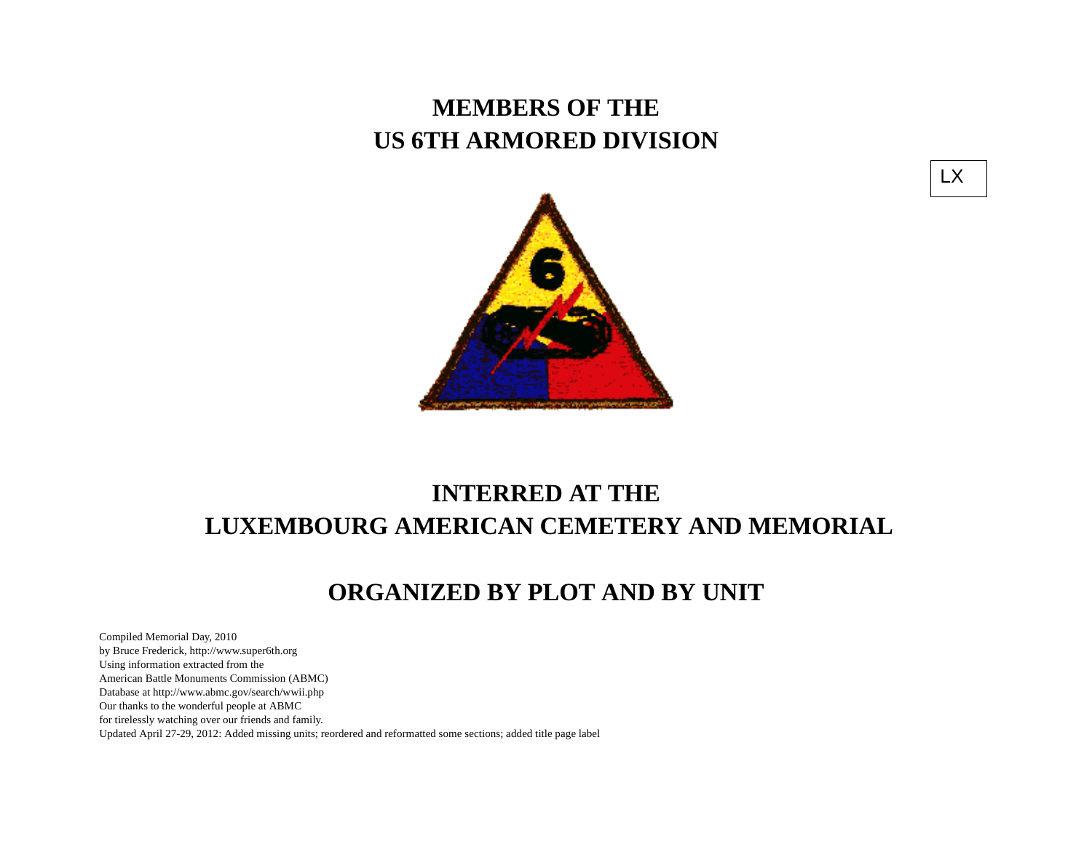## **MEMBERS OF THE US 6TH ARMORED DIVISION**



# **INTERRED AT THE LUXEMBOURG AMERICAN CEMETERY AND MEMORIAL**

### **ORGANIZED BY PLOT AND BY UNIT**

Compiled Memorial Day, 2010 by Bruce Frederick, http://www.super6th.orgUsing information extracted from the American Battle Monuments Commission (ABMC) Database at http://www.abmc.gov/search/wwii.phpOur thanks to the wonderful people at ABMC for tirelessly watching over our friends and family.Updated April 27-29, 2012: Added missing units; reordered and reformatted some sections; added title page label LX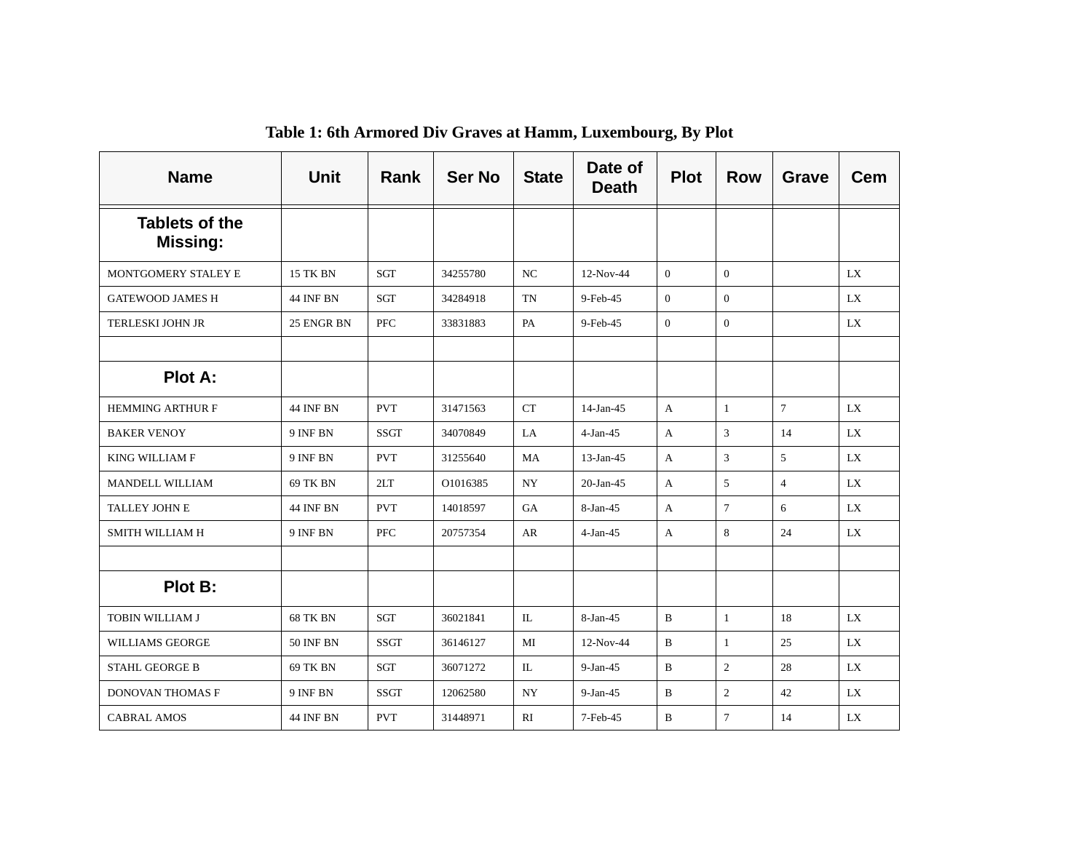| <b>Name</b>                              | <b>Unit</b>      | Rank        | <b>Ser No</b> | <b>State</b>     | Date of<br><b>Death</b> | <b>Plot</b>    | <b>Row</b>     | <b>Grave</b>   | <b>Cem</b> |
|------------------------------------------|------------------|-------------|---------------|------------------|-------------------------|----------------|----------------|----------------|------------|
| <b>Tablets of the</b><br><b>Missing:</b> |                  |             |               |                  |                         |                |                |                |            |
| MONTGOMERY STALEY E                      | <b>15 TK BN</b>  | <b>SGT</b>  | 34255780      | $_{\mathrm{NC}}$ | $12-Nov-44$             | $\Omega$       | $\theta$       |                | LX         |
| <b>GATEWOOD JAMES H</b>                  | <b>44 INF BN</b> | SGT         | 34284918      | TN               | 9-Feb-45                | $\overline{0}$ | $\overline{0}$ |                | LX         |
| <b>TERLESKI JOHN JR</b>                  | 25 ENGR BN       | <b>PFC</b>  | 33831883      | PA               | 9-Feb-45                | $\Omega$       | $\theta$       |                | LX         |
|                                          |                  |             |               |                  |                         |                |                |                |            |
| <b>Plot A:</b>                           |                  |             |               |                  |                         |                |                |                |            |
| <b>HEMMING ARTHUR F</b>                  | <b>44 INF BN</b> | <b>PVT</b>  | 31471563      | <b>CT</b>        | $14$ -Jan-45            | $\mathbf{A}$   | $\mathbf{1}$   | $\overline{7}$ | LX         |
| <b>BAKER VENOY</b>                       | 9 INF BN         | <b>SSGT</b> | 34070849      | LA.              | $4-Jan-45$              | $\mathbf{A}$   | 3              | 14             | LX         |
| <b>KING WILLIAM F</b>                    | 9 INF BN         | <b>PVT</b>  | 31255640      | MA               | $13$ -Jan-45            | $\mathbf{A}$   | $\mathfrak{Z}$ | 5              | <b>LX</b>  |
| MANDELL WILLIAM                          | 69 TK BN         | 2LT         | O1016385      | <b>NY</b>        | $20$ -Jan-45            | A              | 5              | $\overline{4}$ | LX         |
| TALLEY JOHN E                            | <b>44 INF BN</b> | <b>PVT</b>  | 14018597      | <b>GA</b>        | 8-Jan-45                | $\mathbf{A}$   | $\tau$         | 6              | LX         |
| <b>SMITH WILLIAM H</b>                   | 9 INF BN         | <b>PFC</b>  | 20757354      | AR               | $4-Jan-45$              | $\mathbf{A}$   | 8              | 24             | LX         |
|                                          |                  |             |               |                  |                         |                |                |                |            |
| Plot B:                                  |                  |             |               |                  |                         |                |                |                |            |
| TOBIN WILLIAM J                          | <b>68 TK BN</b>  | SGT         | 36021841      | IL               | 8-Jan-45                | B              | 1              | 18             | LX         |
| <b>WILLIAMS GEORGE</b>                   | <b>50 INF BN</b> | <b>SSGT</b> | 36146127      | MI               | 12-Nov-44               | B              | $\mathbf{1}$   | 25             | LX         |
| <b>STAHL GEORGE B</b>                    | 69 TK BN         | <b>SGT</b>  | 36071272      | IL               | $9-Jan-45$              | $\mathbf{B}$   | $\overline{2}$ | 28             | <b>LX</b>  |
| <b>DONOVAN THOMAS F</b>                  | 9 INF BN         | <b>SSGT</b> | 12062580      | <b>NY</b>        | $9-Jan-45$              | B              | $\overline{2}$ | 42             | LX         |
| <b>CABRAL AMOS</b>                       | 44 INF BN        | <b>PVT</b>  | 31448971      | RI               | 7-Feb-45                | B              | $\tau$         | 14             | LX         |

**Table 1: 6th Armored Div Graves at Hamm, Luxembourg, By Plot**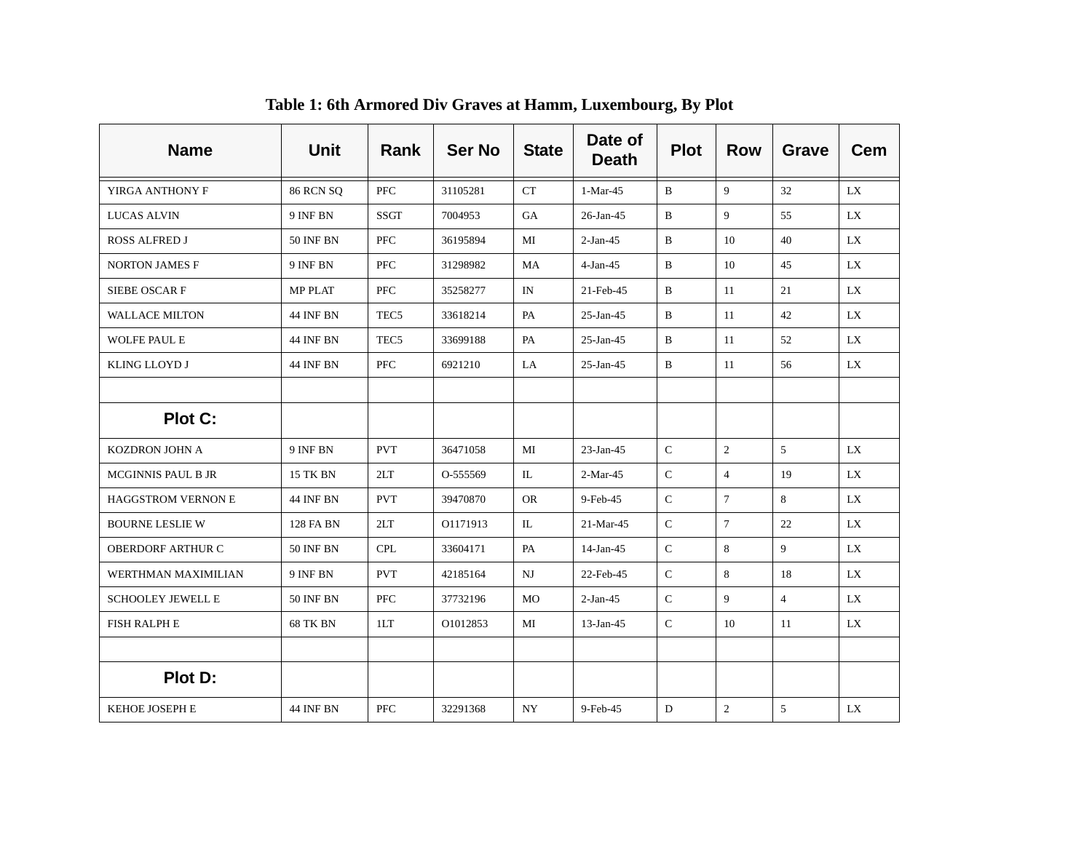| <b>Name</b>               | <b>Unit</b>      | Rank             | <b>Ser No</b> | <b>State</b> | Date of<br><b>Death</b> | <b>Plot</b>  | <b>Row</b>      | <b>Grave</b>   | <b>Cem</b> |
|---------------------------|------------------|------------------|---------------|--------------|-------------------------|--------------|-----------------|----------------|------------|
| YIRGA ANTHONY F           | <b>86 RCN SQ</b> | <b>PFC</b>       | 31105281      | <b>CT</b>    | $1-Mar-45$              | $\mathbf{B}$ | $\mathbf{Q}$    | 32             | LX         |
| <b>LUCAS ALVIN</b>        | 9 INF BN         | <b>SSGT</b>      | 7004953       | GA           | 26-Jan-45               | B            | 9               | 55             | LX         |
| <b>ROSS ALFRED J</b>      | <b>50 INF BN</b> | PFC              | 36195894      | MI           | $2-Jan-45$              | B            | 10              | 40             | LX         |
| <b>NORTON JAMES F</b>     | 9 INF BN         | <b>PFC</b>       | 31298982      | MA           | $4-Jan-45$              | B            | 10              | 45             | LX.        |
| SIEBE OSCAR F             | <b>MP PLAT</b>   | <b>PFC</b>       | 35258277      | IN           | 21-Feb-45               | B            | 11              | 21             | LX         |
| WALLACE MILTON            | <b>44 INF BN</b> | TEC5             | 33618214      | PA           | $25$ -Jan-45            | B            | 11              | 42             | LX         |
| WOLFE PAUL E              | <b>44 INF BN</b> | TEC <sub>5</sub> | 33699188      | PA           | $25$ -Jan-45            | B            | 11              | 52             | LX         |
| KLING LLOYD J             | <b>44 INF BN</b> | PFC              | 6921210       | LA           | $25$ -Jan-45            | B            | 11              | 56             | LX         |
|                           |                  |                  |               |              |                         |              |                 |                |            |
| Plot C:                   |                  |                  |               |              |                         |              |                 |                |            |
| KOZDRON JOHN A            | 9 INF BN         | <b>PVT</b>       | 36471058      | MI           | $23$ -Jan-45            | $\mathbf C$  | $\overline{2}$  | $\overline{5}$ | LX         |
| <b>MCGINNIS PAUL B JR</b> | 15 TK BN         | 2LT              | O-555569      | IL           | $2-Mar-45$              | $\mathsf{C}$ | $\overline{4}$  | 19             | LX         |
| <b>HAGGSTROM VERNON E</b> | 44 INF BN        | <b>PVT</b>       | 39470870      | <b>OR</b>    | 9-Feb-45                | C            | $\tau$          | 8              | LX.        |
| <b>BOURNE LESLIE W</b>    | 128 FA BN        | 2LT              | O1171913      | IL           | $21-Mar-45$             | $\mathsf{C}$ | $7\phantom{.0}$ | 22             | LX.        |
| OBERDORF ARTHUR C         | <b>50 INF BN</b> | <b>CPL</b>       | 33604171      | PA           | $14$ -Jan-45            | $\mathsf{C}$ | 8               | 9              | LX         |
| WERTHMAN MAXIMILIAN       | 9 INF BN         | <b>PVT</b>       | 42185164      | NJ           | 22-Feb-45               | $\mathbf C$  | 8               | 18             | <b>LX</b>  |
| <b>SCHOOLEY JEWELL E</b>  | <b>50 INF BN</b> | PFC              | 37732196      | MO           | $2-Jan-45$              | $\mathbf C$  | 9               | $\overline{4}$ | LX         |
| FISH RALPH E              | <b>68 TK BN</b>  | 1LT              | O1012853      | MI           | $13$ -Jan-45            | $\mathsf{C}$ | 10              | 11             | LX         |
|                           |                  |                  |               |              |                         |              |                 |                |            |
| Plot D:                   |                  |                  |               |              |                         |              |                 |                |            |
| KEHOE JOSEPH E            | <b>44 INF BN</b> | PFC              | 32291368      | NY           | 9-Feb-45                | D            | $\sqrt{2}$      | 5              | LX         |

**Table 1: 6th Armored Div Graves at Hamm, Luxembourg, By Plot**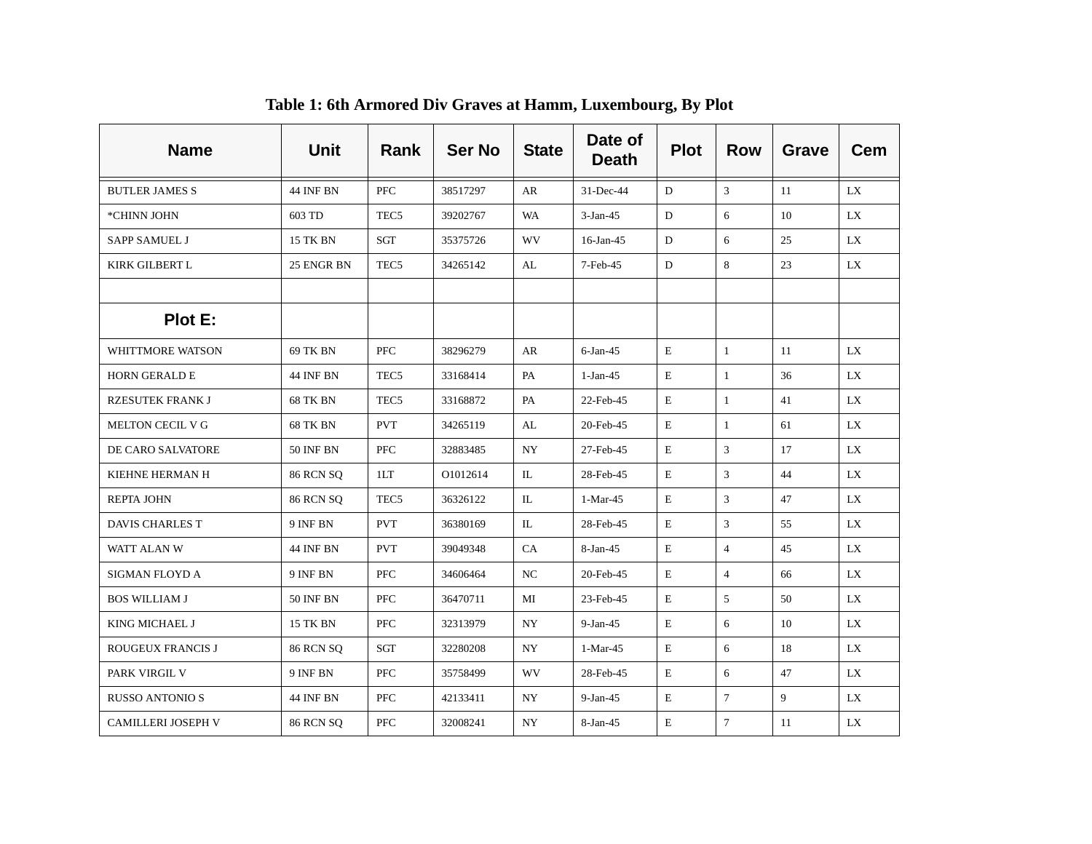| <b>Name</b>              | <b>Unit</b>      | Rank             | <b>Ser No</b> | <b>State</b> | Date of<br><b>Death</b> | <b>Plot</b> | <b>Row</b>     | Grave | <b>Cem</b> |
|--------------------------|------------------|------------------|---------------|--------------|-------------------------|-------------|----------------|-------|------------|
| <b>BUTLER JAMES S</b>    | <b>44 INF BN</b> | <b>PFC</b>       | 38517297      | AR           | $31$ -Dec-44            | D           | 3              | 11    | LX         |
| *CHINN JOHN              | 603 TD           | TEC <sub>5</sub> | 39202767      | <b>WA</b>    | $3-Jan-45$              | D           | 6              | 10    | LX         |
| <b>SAPP SAMUEL J</b>     | 15 TK BN         | SGT              | 35375726      | <b>WV</b>    | 16-Jan-45               | D           | 6              | 25    | LX         |
| KIRK GILBERT L           | 25 ENGR BN       | TEC <sub>5</sub> | 34265142      | AL           | 7-Feb-45                | D           | 8              | 23    | LX         |
|                          |                  |                  |               |              |                         |             |                |       |            |
| Plot E:                  |                  |                  |               |              |                         |             |                |       |            |
| WHITTMORE WATSON         | 69 TK BN         | PFC              | 38296279      | AR           | $6$ -Jan-45             | E           | $\mathbf{1}$   | 11    | <b>LX</b>  |
| <b>HORN GERALD E</b>     | <b>44 INF BN</b> | TEC <sub>5</sub> | 33168414      | PA           | $1-Jan-45$              | E           | $\mathbf{1}$   | 36    | LX         |
| <b>RZESUTEK FRANK J</b>  | 68 TK BN         | TEC <sub>5</sub> | 33168872      | PA           | 22-Feb-45               | Е           | $\mathbf{1}$   | 41    | LX         |
| MELTON CECIL V G         | 68 TK BN         | <b>PVT</b>       | 34265119      | AL           | 20-Feb-45               | E           | 1              | 61    | LX         |
| <b>DE CARO SALVATORE</b> | <b>50 INF BN</b> | <b>PFC</b>       | 32883485      | NY.          | 27-Feb-45               | E           | 3              | 17    | LX         |
| KIEHNE HERMAN H          | <b>86 RCN SQ</b> | 1LT              | O1012614      | IL           | 28-Feb-45               | E           | 3              | 44    | LX         |
| <b>REPTA JOHN</b>        | <b>86 RCN SQ</b> | TEC5             | 36326122      | IL           | $1-Mar-45$              | E           | 3              | 47    | LX.        |
| DAVIS CHARLES T          | 9 INF BN         | <b>PVT</b>       | 36380169      | IL           | 28-Feb-45               | E           | 3              | 55    | LX         |
| WATT ALAN W              | <b>44 INF BN</b> | <b>PVT</b>       | 39049348      | CA           | 8-Jan-45                | E           | $\overline{4}$ | 45    | LX         |
| SIGMAN FLOYD A           | 9 INF BN         | <b>PFC</b>       | 34606464      | NC           | 20-Feb-45               | Е           | $\overline{4}$ | 66    | LX         |
| <b>BOS WILLIAM J</b>     | <b>50 INF BN</b> | PFC              | 36470711      | MI           | 23-Feb-45               | Е           | 5              | 50    | LX         |
| KING MICHAEL J           | <b>15 TK BN</b>  | <b>PFC</b>       | 32313979      | NY.          | $9-Jan-45$              | E           | 6              | 10    | LX         |
| ROUGEUX FRANCIS J        | <b>86 RCN SQ</b> | SGT              | 32280208      | NY.          | 1-Mar-45                | Е           | 6              | 18    | LX         |
| PARK VIRGIL V            | 9 INF BN         | <b>PFC</b>       | 35758499      | <b>WV</b>    | 28-Feb-45               | E           | 6              | 47    | LX         |
| <b>RUSSO ANTONIO S</b>   | 44 INF BN        | <b>PFC</b>       | 42133411      | NY.          | $9-Jan-45$              | E           | $\tau$         | 9     | LX         |
| CAMILLERI JOSEPH V       | <b>86 RCN SQ</b> | PFC              | 32008241      | NY           | 8-Jan-45                | E           | $\tau$         | 11    | LX         |

### **Table 1: 6th Armored Div Graves at Hamm, Luxembourg, By Plot**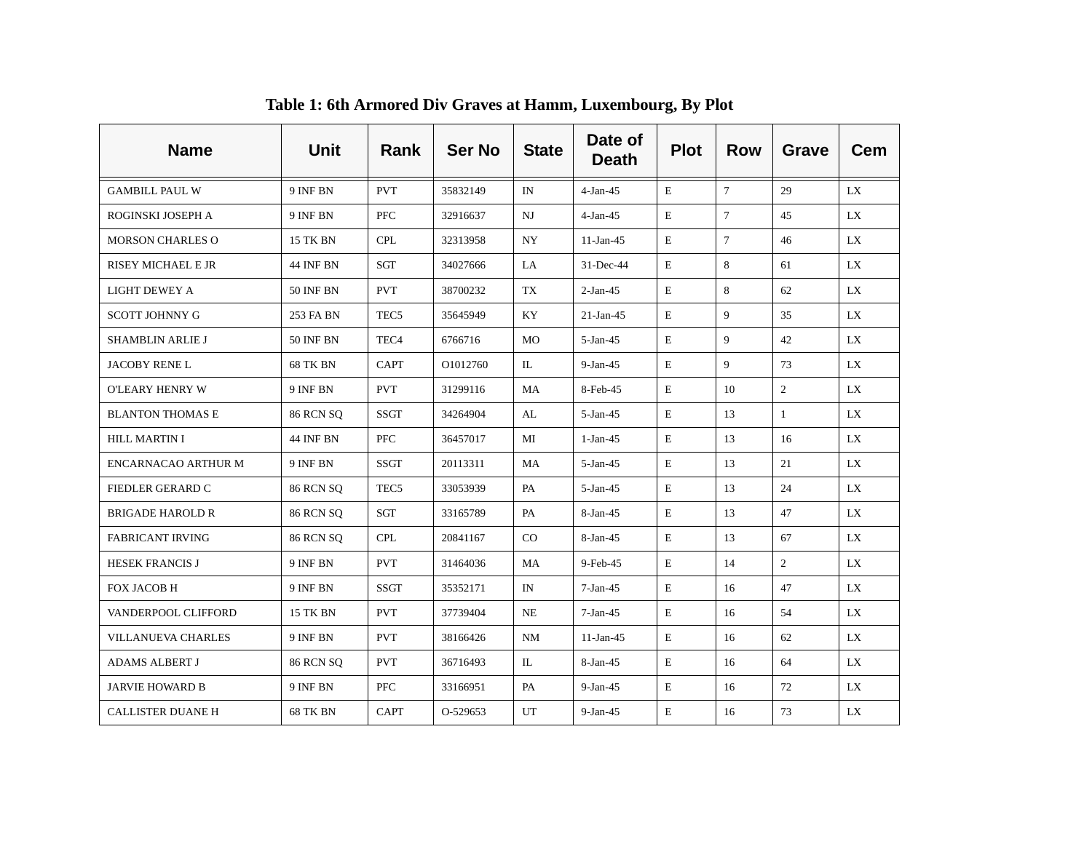| <b>Name</b>              | <b>Unit</b>      | Rank             | <b>Ser No</b> | <b>State</b> | Date of<br><b>Death</b> | <b>Plot</b> | <b>Row</b>     | <b>Grave</b>   | <b>Cem</b> |
|--------------------------|------------------|------------------|---------------|--------------|-------------------------|-------------|----------------|----------------|------------|
| <b>GAMBILL PAUL W</b>    | 9 INF BN         | <b>PVT</b>       | 35832149      | IN           | $4-Jan-45$              | E           | $\tau$         | 29             | LX.        |
| ROGINSKI JOSEPH A        | 9 INF BN         | <b>PFC</b>       | 32916637      | NJ           | $4-Jan-45$              | E           | $\overline{7}$ | 45             | LX         |
| <b>MORSON CHARLES O</b>  | 15 TK BN         | <b>CPL</b>       | 32313958      | NY.          | $11-Jan-45$             | E           | $\tau$         | 46             | LX.        |
| RISEY MICHAEL E JR       | <b>44 INF BN</b> | SGT              | 34027666      | LA           | 31-Dec-44               | E           | 8              | 61             | LX         |
| <b>LIGHT DEWEY A</b>     | <b>50 INF BN</b> | <b>PVT</b>       | 38700232      | TX           | $2-Jan-45$              | E           | 8              | 62             | LX         |
| SCOTT JOHNNY G           | 253 FA BN        | TEC <sub>5</sub> | 35645949      | KY.          | $21-Ian-45$             | E           | 9              | 35             | LX.        |
| SHAMBLIN ARLIE J         | <b>50 INF BN</b> | TEC <sub>4</sub> | 6766716       | MO           | $5-Jan-45$              | E           | 9              | 42             | LX         |
| <b>JACOBY RENE L</b>     | 68 TK BN         | <b>CAPT</b>      | O1012760      | IL           | $9-Jan-45$              | E           | 9              | 73             | LX.        |
| O'LEARY HENRY W          | 9 INF BN         | <b>PVT</b>       | 31299116      | MA           | 8-Feb-45                | E           | 10             | $\overline{2}$ | LX         |
| <b>BLANTON THOMAS E</b>  | <b>86 RCN SQ</b> | SSGT             | 34264904      | AL           | $5-Jan-45$              | E           | 13             | $\mathbf{1}$   | LX.        |
| <b>HILL MARTIN I</b>     | 44 INF BN        | PFC              | 36457017      | MI           | $1-Jan-45$              | E           | 13             | 16             | LX.        |
| ENCARNACAO ARTHUR M      | 9 INF BN         | <b>SSGT</b>      | 20113311      | MA           | $5-Jan-45$              | E           | 13             | 21             | LX.        |
| FIEDLER GERARD C         | <b>86 RCN SQ</b> | TEC <sub>5</sub> | 33053939      | PA           | $5-Jan-45$              | E           | 13             | 24             | LX.        |
| <b>BRIGADE HAROLD R</b>  | <b>86 RCN SQ</b> | SGT              | 33165789      | PA           | 8-Jan-45                | E           | 13             | 47             | LX.        |
| <b>FABRICANT IRVING</b>  | <b>86 RCN SQ</b> | <b>CPL</b>       | 20841167      | CO           | 8-Jan-45                | E           | 13             | 67             | LX         |
| <b>HESEK FRANCIS J</b>   | 9 INF BN         | <b>PVT</b>       | 31464036      | MA           | 9-Feb-45                | $\mathbf E$ | 14             | $\overline{2}$ | <b>LX</b>  |
| FOX JACOB H              | 9 INF BN         | <b>SSGT</b>      | 35352171      | IN           | $7-Jan-45$              | E           | 16             | 47             | LX         |
| VANDERPOOL CLIFFORD      | <b>15 TK BN</b>  | <b>PVT</b>       | 37739404      | NE           | $7-Jan-45$              | $\mathbf E$ | 16             | 54             | LX         |
| VILLANUEVA CHARLES       | 9 INF BN         | <b>PVT</b>       | 38166426      | NM           | $11-Jan-45$             | E           | 16             | 62             | LX         |
| <b>ADAMS ALBERT J</b>    | <b>86 RCN SQ</b> | <b>PVT</b>       | 36716493      | IL           | $8-Jan-45$              | E           | 16             | 64             | LX         |
| <b>JARVIE HOWARD B</b>   | 9 INF BN         | <b>PFC</b>       | 33166951      | PA           | $9-Jan-45$              | Ε           | 16             | 72             | LX         |
| <b>CALLISTER DUANE H</b> | <b>68 TK BN</b>  | <b>CAPT</b>      | O-529653      | UT           | $9-Jan-45$              | $\mathbf E$ | 16             | 73             | LX         |

**Table 1: 6th Armored Div Graves at Hamm, Luxembourg, By Plot**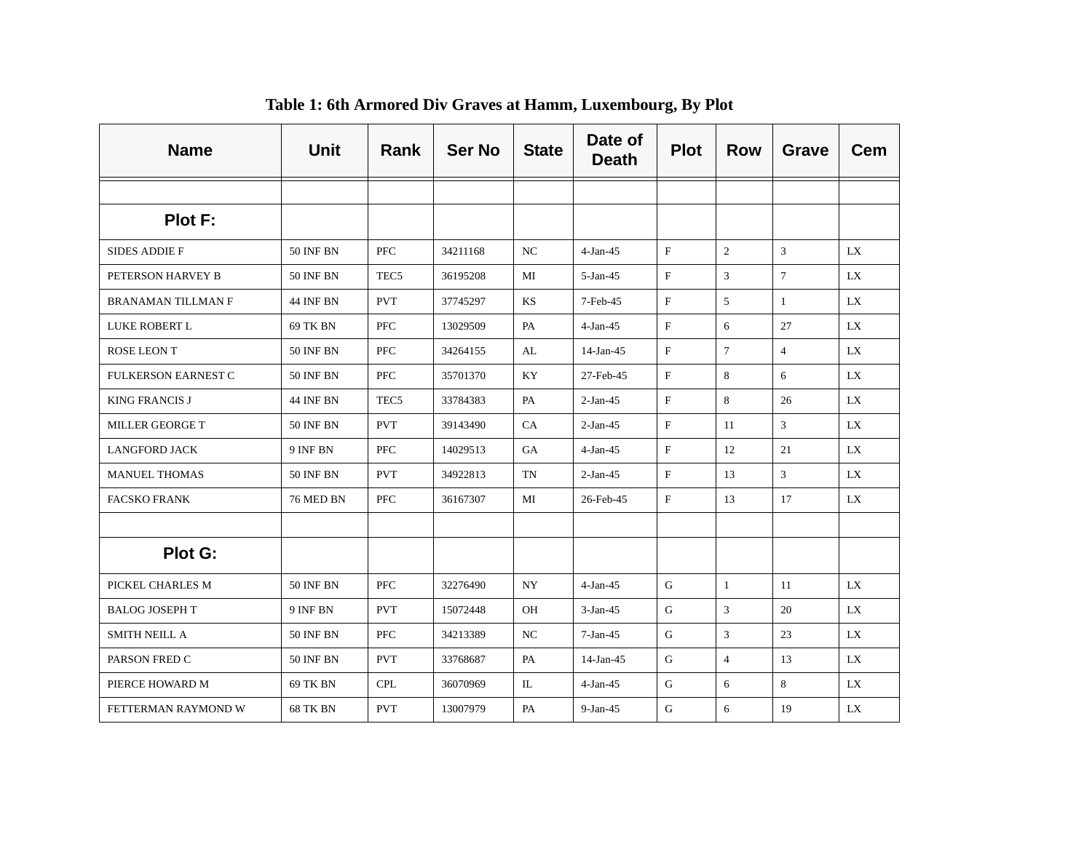| <b>Name</b>                | <b>Unit</b>      | Rank             | <b>Ser No</b> | <b>State</b> | Date of<br><b>Death</b> | <b>Plot</b>  | <b>Row</b>     | <b>Grave</b>    | <b>Cem</b> |
|----------------------------|------------------|------------------|---------------|--------------|-------------------------|--------------|----------------|-----------------|------------|
|                            |                  |                  |               |              |                         |              |                |                 |            |
| Plot F:                    |                  |                  |               |              |                         |              |                |                 |            |
| <b>SIDES ADDIE F</b>       | <b>50 INF BN</b> | <b>PFC</b>       | 34211168      | $_{\rm NC}$  | $4-Jan-45$              | $\mathbf F$  | $\overline{2}$ | $\mathfrak{Z}$  | <b>LX</b>  |
| PETERSON HARVEY B          | <b>50 INF BN</b> | TEC <sub>5</sub> | 36195208      | МI           | $5-Jan-45$              | $\mathbf{F}$ | 3              | $7\overline{ }$ | LX         |
| BRANAMAN TILLMAN F         | <b>44 INF BN</b> | <b>PVT</b>       | 37745297      | KS           | 7-Feb-45                | $_{\rm F}$   | 5              | $\mathbf{1}$    | LX         |
| LUKE ROBERT L              | 69 TK BN         | <b>PFC</b>       | 13029509      | PA           | $4-Jan-45$              | $_{\rm F}$   | 6              | 27              | LX         |
| <b>ROSE LEON T</b>         | <b>50 INF BN</b> | <b>PFC</b>       | 34264155      | AL           | $14$ -Jan-45            | F            | $\tau$         | $\overline{4}$  | LX         |
| <b>FULKERSON EARNEST C</b> | <b>50 INF BN</b> | PFC              | 35701370      | KY           | 27-Feb-45               | F            | 8              | 6               | LX         |
| <b>KING FRANCIS J</b>      | <b>44 INF BN</b> | TEC <sub>5</sub> | 33784383      | PA           | $2-Jan-45$              | $\mathbf{F}$ | 8              | 26              | LX         |
| MILLER GEORGE T            | <b>50 INF BN</b> | <b>PVT</b>       | 39143490      | CA           | $2-Jan-45$              | $\mathbf F$  | 11             | 3               | LX         |
| <b>LANGFORD JACK</b>       | 9 INF BN         | <b>PFC</b>       | 14029513      | <b>GA</b>    | $4-Jan-45$              | $\mathbf F$  | 12             | 21              | LX.        |
| <b>MANUEL THOMAS</b>       | <b>50 INF BN</b> | <b>PVT</b>       | 34922813      | <b>TN</b>    | $2-Jan-45$              | $\mathbf F$  | 13             | $\mathfrak{Z}$  | LX         |
| <b>FACSKO FRANK</b>        | 76 MED BN        | PFC              | 36167307      | MI           | 26-Feb-45               | $\mathbf F$  | 13             | 17              | LX         |
|                            |                  |                  |               |              |                         |              |                |                 |            |
| <b>Plot G:</b>             |                  |                  |               |              |                         |              |                |                 |            |
| PICKEL CHARLES M           | <b>50 INF BN</b> | PFC              | 32276490      | NY.          | $4-Jan-45$              | G            | $\mathbf{1}$   | 11              | LX         |
| <b>BALOG JOSEPH T</b>      | 9 INF BN         | <b>PVT</b>       | 15072448      | OH           | $3-Jan-45$              | $\mathbf G$  | 3              | 20              | LX         |
| <b>SMITH NEILL A</b>       | <b>50 INF BN</b> | <b>PFC</b>       | 34213389      | NC           | $7-Jan-45$              | G            | 3              | 23              | LX         |
| PARSON FRED C              | <b>50 INF BN</b> | <b>PVT</b>       | 33768687      | PA           | $14$ -Jan-45            | G            | $\overline{4}$ | 13              | LX.        |
| PIERCE HOWARD M            | 69 TK BN         | <b>CPL</b>       | 36070969      | IL           | $4-Jan-45$              | G            | 6              | 8               | LX         |
| FETTERMAN RAYMOND W        | 68 TK BN         | <b>PVT</b>       | 13007979      | PA           | $9-Jan-45$              | G            | 6              | 19              | LX         |

**Table 1: 6th Armored Div Graves at Hamm, Luxembourg, By Plot**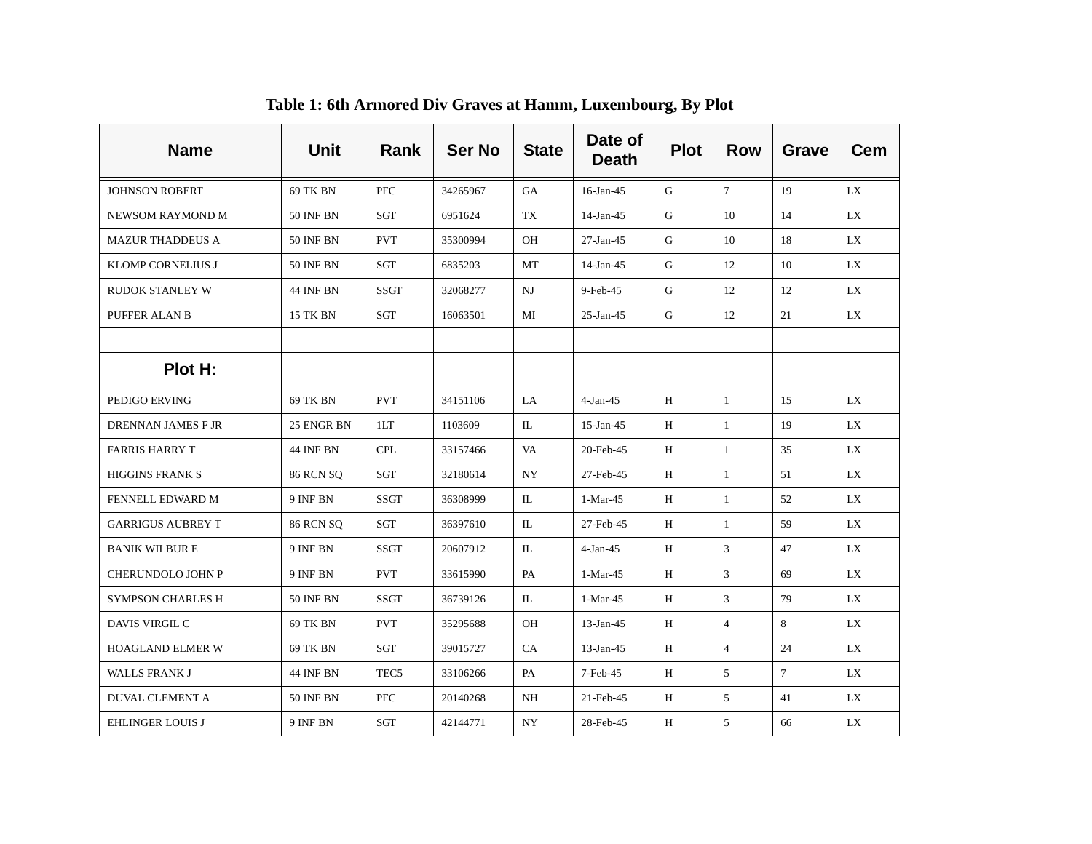| <b>Name</b>              | <b>Unit</b>      | Rank             | <b>Ser No</b> | <b>State</b> | Date of<br><b>Death</b> | <b>Plot</b> | <b>Row</b>      | <b>Grave</b>    | <b>Cem</b> |
|--------------------------|------------------|------------------|---------------|--------------|-------------------------|-------------|-----------------|-----------------|------------|
| <b>JOHNSON ROBERT</b>    | 69 TK BN         | <b>PFC</b>       | 34265967      | GA           | 16-Jan-45               | G           | $7\overline{ }$ | 19              | LX         |
| NEWSOM RAYMOND M         | <b>50 INF BN</b> | SGT              | 6951624       | TX           | 14-Jan-45               | G           | 10              | 14              | LX         |
| <b>MAZUR THADDEUS A</b>  | <b>50 INF BN</b> | <b>PVT</b>       | 35300994      | <b>OH</b>    | $27-Ian-45$             | G           | 10              | 18              | LX.        |
| KLOMP CORNELIUS J        | <b>50 INF BN</b> | SGT              | 6835203       | МT           | 14-Jan-45               | G           | 12              | 10              | LX.        |
| <b>RUDOK STANLEY W</b>   | <b>44 INF BN</b> | SSGT             | 32068277      | $_{\rm NJ}$  | 9-Feb-45                | G           | 12              | 12              | LX.        |
| PUFFER ALAN B            | 15 TK BN         | SGT              | 16063501      | MI           | 25-Jan-45               | G           | 12              | 21              | LX         |
|                          |                  |                  |               |              |                         |             |                 |                 |            |
| Plot H:                  |                  |                  |               |              |                         |             |                 |                 |            |
| PEDIGO ERVING            | 69 TK BN         | <b>PVT</b>       | 34151106      | LA           | $4-Jan-45$              | H           | $\mathbf{1}$    | 15              | LX         |
| DRENNAN JAMES F JR       | 25 ENGR BN       | 1LT              | 1103609       | IL           | 15-Jan-45               | H           | $\mathbf{1}$    | 19              | LX         |
| <b>FARRIS HARRY T</b>    | 44 INF BN        | <b>CPL</b>       | 33157466      | VA           | 20-Feb-45               | H           | $\mathbf{1}$    | 35              | LX         |
| <b>HIGGINS FRANK S</b>   | <b>86 RCN SQ</b> | SGT              | 32180614      | NY           | 27-Feb-45               | H           | $\mathbf{1}$    | 51              | LX         |
| FENNELL EDWARD M         | 9 INF BN         | SSGT             | 36308999      | IL           | 1-Mar-45                | H           | 1               | 52              | LX         |
| <b>GARRIGUS AUBREY T</b> | <b>86 RCN SQ</b> | SGT              | 36397610      | IL           | 27-Feb-45               | H           | 1               | 59              | LX         |
| <b>BANIK WILBUR E</b>    | 9 INF BN         | <b>SSGT</b>      | 20607912      | $\Pi$ .      | $4-Jan-45$              | H           | 3               | 47              | LX.        |
| CHERUNDOLO JOHN P        | 9 INF BN         | <b>PVT</b>       | 33615990      | PA           | 1-Mar-45                | H           | 3               | 69              | LX         |
| SYMPSON CHARLES H        | <b>50 INF BN</b> | SSGT             | 36739126      | IL           | $1-Mar-45$              | H           | 3               | 79              | LX         |
| DAVIS VIRGIL C           | 69 TK BN         | <b>PVT</b>       | 35295688      | <b>OH</b>    | $13$ -Jan-45            | H           | $\overline{4}$  | 8               | LX         |
| <b>HOAGLAND ELMER W</b>  | 69 TK BN         | SGT              | 39015727      | CA           | $13$ -Jan-45            | H           | $\overline{4}$  | 24              | LX         |
| WALLS FRANK J            | <b>44 INF BN</b> | TEC <sub>5</sub> | 33106266      | PA           | 7-Feb-45                | H           | 5               | $7\overline{ }$ | LX         |
| <b>DUVAL CLEMENT A</b>   | <b>50 INF BN</b> | <b>PFC</b>       | 20140268      | NH           | 21-Feb-45               | H           | 5               | 41              | LX.        |
| <b>EHLINGER LOUIS J</b>  | 9 INF BN         | SGT              | 42144771      | NY           | 28-Feb-45               | H           | 5               | 66              | LX         |

**Table 1: 6th Armored Div Graves at Hamm, Luxembourg, By Plot**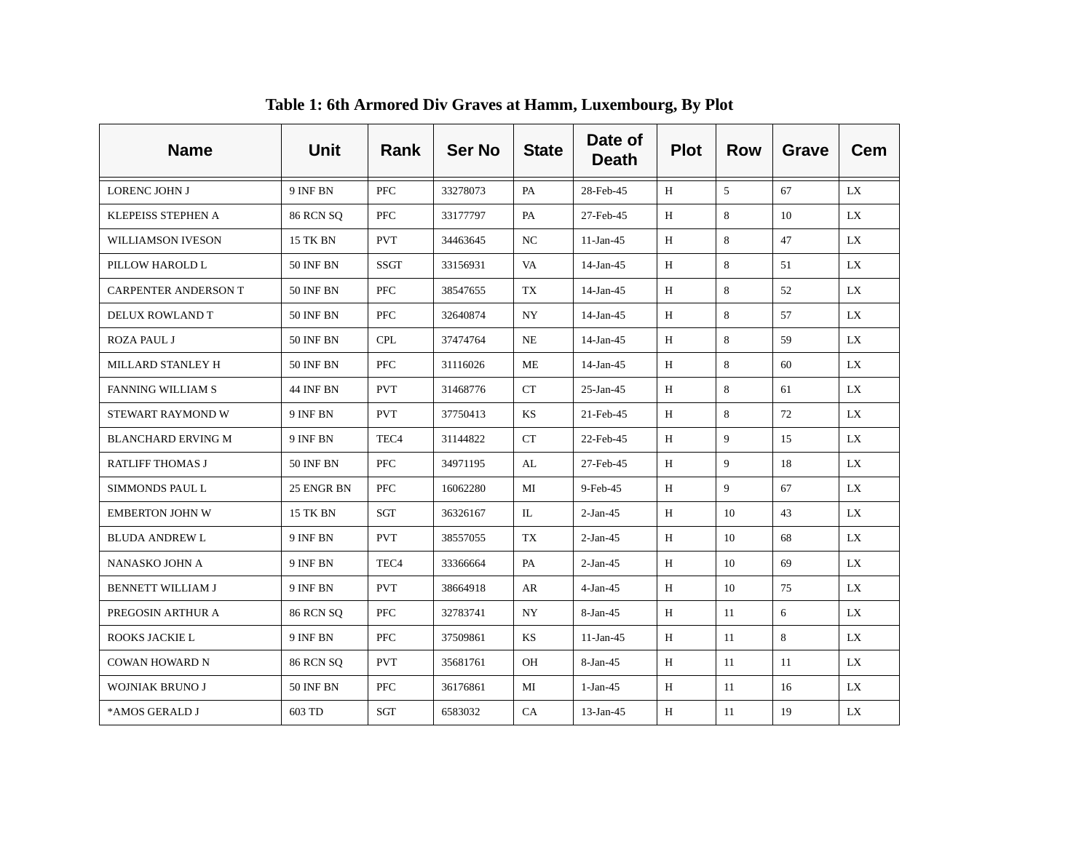| <b>Name</b>                 | <b>Unit</b>      | Rank             | <b>Ser No</b> | <b>State</b> | Date of<br><b>Death</b> | <b>Plot</b> | <b>Row</b>     | Grave | <b>Cem</b> |
|-----------------------------|------------------|------------------|---------------|--------------|-------------------------|-------------|----------------|-------|------------|
| <b>LORENC JOHN J</b>        | 9 INF BN         | <b>PFC</b>       | 33278073      | PA           | 28-Feb-45               | H           | $\overline{5}$ | 67    | LX.        |
| KLEPEISS STEPHEN A          | <b>86 RCN SQ</b> | <b>PFC</b>       | 33177797      | PA           | 27-Feb-45               | H           | 8              | 10    | LX.        |
| WILLIAMSON IVESON           | 15 TK BN         | <b>PVT</b>       | 34463645      | NC.          | $11-Jan-45$             | H           | 8              | 47    | LX.        |
| PILLOW HAROLD L             | <b>50 INF BN</b> | <b>SSGT</b>      | 33156931      | VA           | 14-Jan-45               | Н           | 8              | 51    | LX         |
| <b>CARPENTER ANDERSON T</b> | <b>50 INF BN</b> | PFC              | 38547655      | TX           | 14-Jan-45               | H           | 8              | 52    | LX.        |
| DELUX ROWLAND T             | 50 INF BN        | <b>PFC</b>       | 32640874      | <b>NY</b>    | $14$ -Jan-45            | H           | 8              | 57    | LX.        |
| <b>ROZA PAUL J</b>          | <b>50 INF BN</b> | <b>CPL</b>       | 37474764      | NE           | 14-Jan-45               | H           | 8              | 59    | LX         |
| MILLARD STANLEY H           | <b>50 INF BN</b> | <b>PFC</b>       | 31116026      | МE           | $14$ -Jan-45            | H           | 8              | 60    | LX.        |
| <b>FANNING WILLIAM S</b>    | 44 INF BN        | <b>PVT</b>       | 31468776      | CT           | $25$ -Jan-45            | H           | 8              | 61    | LX.        |
| STEWART RAYMOND W           | 9 INF BN         | <b>PVT</b>       | 37750413      | <b>KS</b>    | 21-Feb-45               | H           | 8              | 72    | LX.        |
| <b>BLANCHARD ERVING M</b>   | 9 INF BN         | TEC <sub>4</sub> | 31144822      | <b>CT</b>    | 22-Feb-45               | H           | 9              | 15    | LX.        |
| <b>RATLIFF THOMAS J</b>     | <b>50 INF BN</b> | <b>PFC</b>       | 34971195      | AL           | 27-Feb-45               | H           | 9              | 18    | LX.        |
| <b>SIMMONDS PAUL L</b>      | 25 ENGR BN       | <b>PFC</b>       | 16062280      | MI           | 9-Feb-45                | H           | 9              | 67    | LX         |
| <b>EMBERTON JOHN W</b>      | 15 TK BN         | SGT              | 36326167      | IL           | $2-Jan-45$              | H           | 10             | 43    | LX         |
| <b>BLUDA ANDREW L</b>       | 9 INF BN         | <b>PVT</b>       | 38557055      | TX           | $2-Jan-45$              | H           | 10             | 68    | LX         |
| NANASKO JOHN A              | 9 INF BN         | TEC <sub>4</sub> | 33366664      | PA           | $2-Jan-45$              | H           | 10             | 69    | LX         |
| <b>BENNETT WILLIAM J</b>    | 9 INF BN         | <b>PVT</b>       | 38664918      | AR           | $4-Jan-45$              | H           | 10             | 75    | LX.        |
| PREGOSIN ARTHUR A           | <b>86 RCN SQ</b> | PFC              | 32783741      | NY           | 8-Jan-45                | H           | 11             | 6     | LX         |
| ROOKS JACKIE L              | 9 INF BN         | <b>PFC</b>       | 37509861      | <b>KS</b>    | $11-Jan-45$             | H           | 11             | 8     | LX.        |
| <b>COWAN HOWARD N</b>       | <b>86 RCN SQ</b> | <b>PVT</b>       | 35681761      | OH           | $8-Jan-45$              | H           | 11             | 11    | LX.        |
| <b>WOJNIAK BRUNO J</b>      | <b>50 INF BN</b> | <b>PFC</b>       | 36176861      | МI           | $1-Jan-45$              | H           | -11            | 16    | LX.        |
| *AMOS GERALD J              | 603 TD           | SGT              | 6583032       | CA           | $13$ -Jan-45            | H           | 11             | 19    | LX         |

**Table 1: 6th Armored Div Graves at Hamm, Luxembourg, By Plot**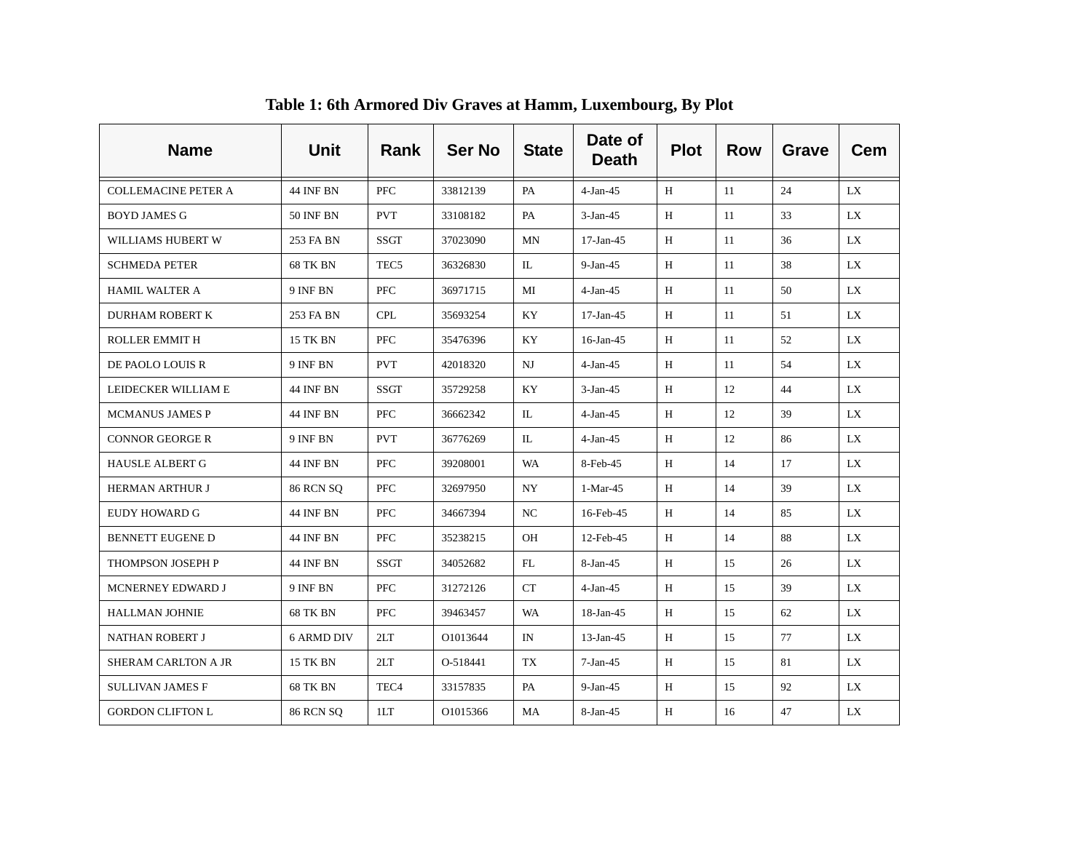| <b>Name</b>                | <b>Unit</b>      | Rank             | <b>Ser No</b> | <b>State</b> | Date of<br><b>Death</b> | <b>Plot</b> | <b>Row</b> | <b>Grave</b> | <b>Cem</b> |
|----------------------------|------------------|------------------|---------------|--------------|-------------------------|-------------|------------|--------------|------------|
| <b>COLLEMACINE PETER A</b> | <b>44 INF BN</b> | <b>PFC</b>       | 33812139      | PA           | $4-Jan-45$              | H           | -11        | 24           | LX.        |
| <b>BOYD JAMES G</b>        | <b>50 INF BN</b> | <b>PVT</b>       | 33108182      | PA           | $3-Jan-45$              | H           | 11         | 33           | LX.        |
| WILLIAMS HUBERT W          | 253 FA BN        | SSGT             | 37023090      | MN           | $17$ -Jan-45            | H           | 11         | 36           | LX.        |
| <b>SCHMEDA PETER</b>       | <b>68 TK BN</b>  | TEC <sub>5</sub> | 36326830      | IL           | $9-Jan-45$              | H           | 11         | 38           | LX         |
| <b>HAMIL WALTER A</b>      | 9 INF BN         | PFC              | 36971715      | MI           | $4-Jan-45$              | H           | 11         | 50           | LX.        |
| <b>DURHAM ROBERT K</b>     | 253 FA BN        | <b>CPL</b>       | 35693254      | KY.          | $17$ -Jan-45            | H           | 11         | 51           | LX.        |
| <b>ROLLER EMMIT H</b>      | 15 TK BN         | PFC              | 35476396      | KY           | $16$ -Jan-45            | H           | 11         | 52           | LX         |
| DE PAOLO LOUIS R           | 9 INF BN         | <b>PVT</b>       | 42018320      | NJ           | $4-Jan-45$              | H           | 11         | 54           | LX.        |
| LEIDECKER WILLIAM E        | 44 INF BN        | SSGT             | 35729258      | KY           | $3-Jan-45$              | H           | 12         | 44           | LX         |
| <b>MCMANUS JAMES P</b>     | 44 INF BN        | <b>PFC</b>       | 36662342      | IL           | $4-Jan-45$              | H           | 12         | 39           | LX.        |
| <b>CONNOR GEORGE R</b>     | 9 INF BN         | <b>PVT</b>       | 36776269      | IL           | $4-Jan-45$              | H           | 12         | 86           | LX.        |
| <b>HAUSLE ALBERT G</b>     | <b>44 INF BN</b> | <b>PFC</b>       | 39208001      | WA           | 8-Feb-45                | H           | 14         | 17           | LX.        |
| <b>HERMAN ARTHUR J</b>     | <b>86 RCN SQ</b> | <b>PFC</b>       | 32697950      | NY           | 1-Mar-45                | H           | 14         | 39           | LX.        |
| EUDY HOWARD G              | 44 INF BN        | PFC              | 34667394      | NC           | 16-Feb-45               | H           | 14         | 85           | LX.        |
| <b>BENNETT EUGENE D</b>    | 44 INF BN        | <b>PFC</b>       | 35238215      | OH           | 12-Feb-45               | H           | 14         | 88           | LX.        |
| THOMPSON JOSEPH P          | 44 INF BN        | SSGT             | 34052682      | FL           | 8-Jan-45                | H           | 15         | 26           | LX         |
| MCNERNEY EDWARD J          | 9 INF BN         | <b>PFC</b>       | 31272126      | <b>CT</b>    | $4-Jan-45$              | H           | 15         | 39           | LX.        |
| <b>HALLMAN JOHNIE</b>      | <b>68 TK BN</b>  | <b>PFC</b>       | 39463457      | <b>WA</b>    | 18-Jan-45               | H           | 15         | 62           | LX         |
| NATHAN ROBERT J            | 6 ARMD DIV       | 2LT              | O1013644      | IN           | $13$ -Jan-45            | H           | 15         | 77           | LX.        |
| <b>SHERAM CARLTON A JR</b> | 15 TK BN         | 2LT              | O-518441      | <b>TX</b>    | $7-Jan-45$              | H           | 15         | 81           | LX         |
| <b>SULLIVAN JAMES F</b>    | <b>68 TK BN</b>  | TEC <sub>4</sub> | 33157835      | PA           | $9-Jan-45$              | H           | 15         | 92           | LX.        |
| <b>GORDON CLIFTON L</b>    | <b>86 RCN SQ</b> | 1LT              | O1015366      | MA           | 8-Jan-45                | H           | 16         | 47           | LX.        |

**Table 1: 6th Armored Div Graves at Hamm, Luxembourg, By Plot**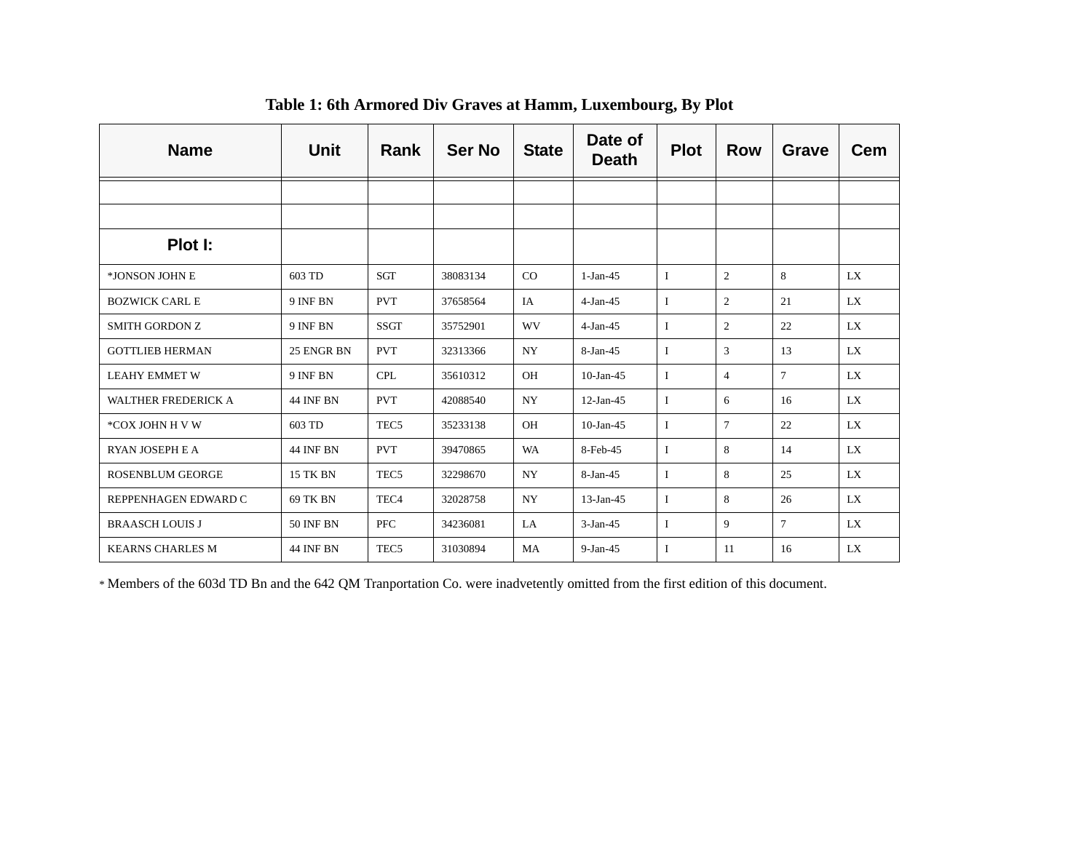| <b>Name</b>                | Unit             | Rank             | <b>Ser No</b> | <b>State</b> | Date of<br><b>Death</b> | <b>Plot</b> | <b>Row</b>     | Grave           | <b>Cem</b> |
|----------------------------|------------------|------------------|---------------|--------------|-------------------------|-------------|----------------|-----------------|------------|
|                            |                  |                  |               |              |                         |             |                |                 |            |
|                            |                  |                  |               |              |                         |             |                |                 |            |
| Plot I:                    |                  |                  |               |              |                         |             |                |                 |            |
| *JONSON JOHN E             | 603 TD           | <b>SGT</b>       | 38083134      | CO           | $1-Jan-45$              | L           | 2              | 8               | LX         |
| <b>BOZWICK CARL E</b>      | 9 INF BN         | <b>PVT</b>       | 37658564      | IA           | $4-Jan-45$              | Ι.          | 2              | 21              | LX         |
| <b>SMITH GORDON Z</b>      | 9 INF BN         | <b>SSGT</b>      | 35752901      | WV           | $4-Jan-45$              | L           | 2              | 22              | LX         |
| <b>GOTTLIEB HERMAN</b>     | 25 ENGR BN       | <b>PVT</b>       | 32313366      | <b>NY</b>    | 8-Jan-45                | 1           | 3              | 13              | LX         |
| <b>LEAHY EMMET W</b>       | 9 INF BN         | <b>CPL</b>       | 35610312      | <b>OH</b>    | $10$ -Jan-45            | L           | $\overline{4}$ | $7\overline{ }$ | LX         |
| <b>WALTHER FREDERICK A</b> | <b>44 INF BN</b> | <b>PVT</b>       | 42088540      | <b>NY</b>    | $12-Jan-45$             | Ι.          | 6              | 16              | LX         |
| *COX JOHN H V W            | 603 TD           | TEC <sub>5</sub> | 35233138      | OH           | $10$ -Jan-45            | L           | $\tau$         | 22              | LX         |
| RYAN JOSEPH E A            | <b>44 INF BN</b> | <b>PVT</b>       | 39470865      | WA           | 8-Feb-45                | I           | 8              | 14              | LX         |
| <b>ROSENBLUM GEORGE</b>    | <b>15 TK BN</b>  | TEC <sub>5</sub> | 32298670      | <b>NY</b>    | $8-Jan-45$              | I           | 8              | 25              | LX         |
| REPPENHAGEN EDWARD C       | 69 TK BN         | TEC <sub>4</sub> | 32028758      | <b>NY</b>    | $13-Jan-45$             | Ι.          | 8              | 26              | LX         |
| <b>BRAASCH LOUIS J</b>     | <b>50 INF BN</b> | <b>PFC</b>       | 34236081      | LA           | $3-Jan-45$              | I           | $\mathbf{Q}$   | $7\overline{ }$ | LX         |
| <b>KEARNS CHARLES M</b>    | <b>44 INF BN</b> | TEC <sub>5</sub> | 31030894      | MA           | $9-Jan-45$              | L           | 11             | 16              | LX         |

**Table 1: 6th Armored Div Graves at Hamm, Luxembourg, By Plot**

\* Members of the 603d TD Bn and the 642 QM Tranportation Co. were inadvetently omitted from the first edition of this document.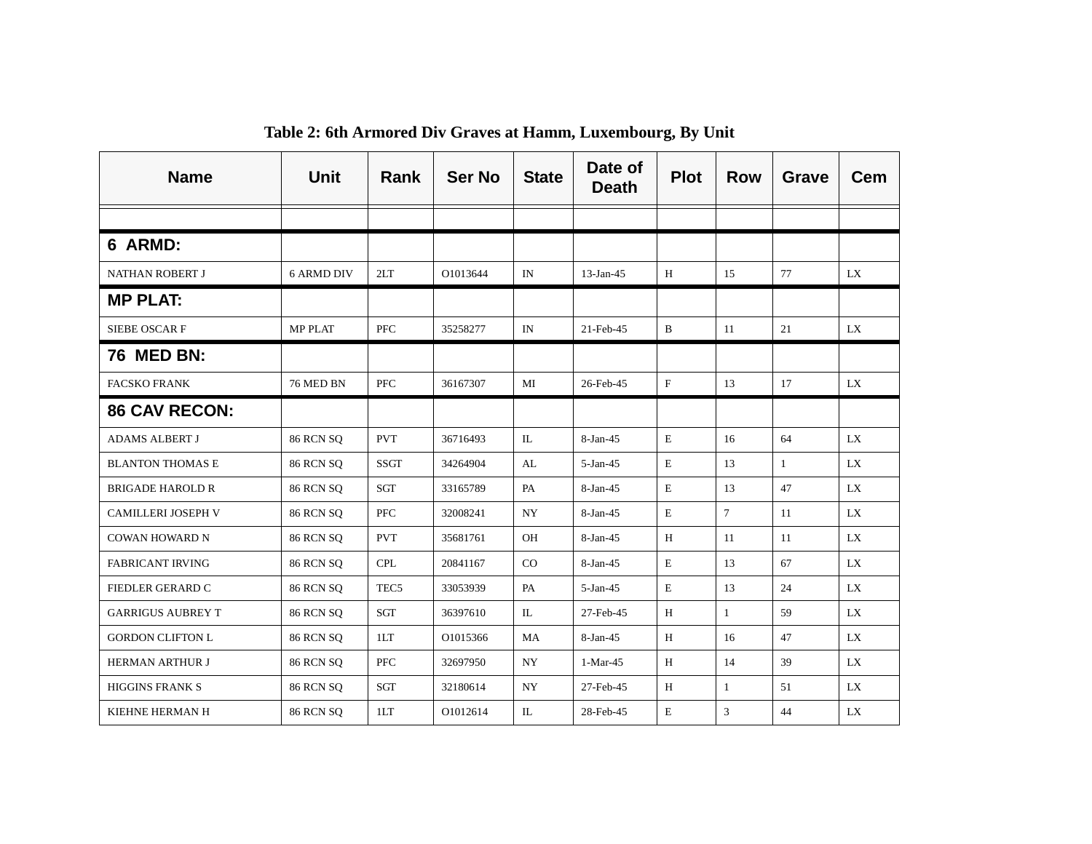| <b>Name</b>              | <b>Unit</b>       | Rank             | <b>Ser No</b> | <b>State</b>  | Date of<br><b>Death</b> | <b>Plot</b> | <b>Row</b>   | <b>Grave</b> | <b>Cem</b> |
|--------------------------|-------------------|------------------|---------------|---------------|-------------------------|-------------|--------------|--------------|------------|
|                          |                   |                  |               |               |                         |             |              |              |            |
| 6 ARMD:                  |                   |                  |               |               |                         |             |              |              |            |
| <b>NATHAN ROBERT J</b>   | <b>6 ARMD DIV</b> | 2LT              | O1013644      | IN            | $13$ -Jan-45            | H           | 15           | 77           | LX         |
| <b>MP PLAT:</b>          |                   |                  |               |               |                         |             |              |              |            |
| SIEBE OSCAR F            | <b>MP PLAT</b>    | <b>PFC</b>       | 35258277      | IN            | 21-Feb-45               | B           | 11           | 21           | LX         |
| <b>76 MED BN:</b>        |                   |                  |               |               |                         |             |              |              |            |
| <b>FACSKO FRANK</b>      | 76 MED BN         | PFC              | 36167307      | MI            | 26-Feb-45               | $\mathbf F$ | 13           | 17           | LX.        |
| <b>86 CAV RECON:</b>     |                   |                  |               |               |                         |             |              |              |            |
| <b>ADAMS ALBERT J</b>    | <b>86 RCN SQ</b>  | <b>PVT</b>       | 36716493      | $\mathbbm{L}$ | 8-Jan-45                | $\mathbf E$ | 16           | 64           | LX         |
| <b>BLANTON THOMAS E</b>  | <b>86 RCN SQ</b>  | <b>SSGT</b>      | 34264904      | AL            | $5-Jan-45$              | $\mathbf E$ | 13           | $\mathbf{1}$ | LX         |
| <b>BRIGADE HAROLD R</b>  | <b>86 RCN SQ</b>  | SGT              | 33165789      | PA            | 8-Jan-45                | E           | 13           | 47           | LX         |
| CAMILLERI JOSEPH V       | <b>86 RCN SQ</b>  | <b>PFC</b>       | 32008241      | NY.           | 8-Jan-45                | $\mathbf E$ | $\tau$       | 11           | LX.        |
| <b>COWAN HOWARD N</b>    | <b>86 RCN SQ</b>  | <b>PVT</b>       | 35681761      | OH            | $8-Jan-45$              | H           | 11           | 11           | LX         |
| <b>FABRICANT IRVING</b>  | <b>86 RCN SQ</b>  | <b>CPL</b>       | 20841167      | CO            | 8-Jan-45                | $\mathbf E$ | 13           | 67           | LX         |
| <b>FIEDLER GERARD C</b>  | <b>86 RCN SQ</b>  | TEC <sub>5</sub> | 33053939      | PA            | $5 - Jan - 45$          | Ε           | 13           | 24           | LX.        |
| <b>GARRIGUS AUBREY T</b> | <b>86 RCN SQ</b>  | SGT              | 36397610      | IL            | 27-Feb-45               | H           | $\mathbf{1}$ | 59           | LX.        |
| <b>GORDON CLIFTON L</b>  | <b>86 RCN SQ</b>  | 1LT              | O1015366      | MA            | $8-Jan-45$              | H           | 16           | 47           | LX.        |
| <b>HERMAN ARTHUR J</b>   | <b>86 RCN SQ</b>  | <b>PFC</b>       | 32697950      | <b>NY</b>     | $1-Mar-45$              | H           | 14           | 39           | LX         |
| <b>HIGGINS FRANK S</b>   | <b>86 RCN SQ</b>  | SGT              | 32180614      | <b>NY</b>     | 27-Feb-45               | H           | -1           | 51           | LX         |
| KIEHNE HERMAN H          | <b>86 RCN SQ</b>  | 1LT              | O1012614      | $\mathbb{L}$  | 28-Feb-45               | E           | 3            | 44           | LX         |

**Table 2: 6th Armored Div Graves at Hamm, Luxembourg, By Unit**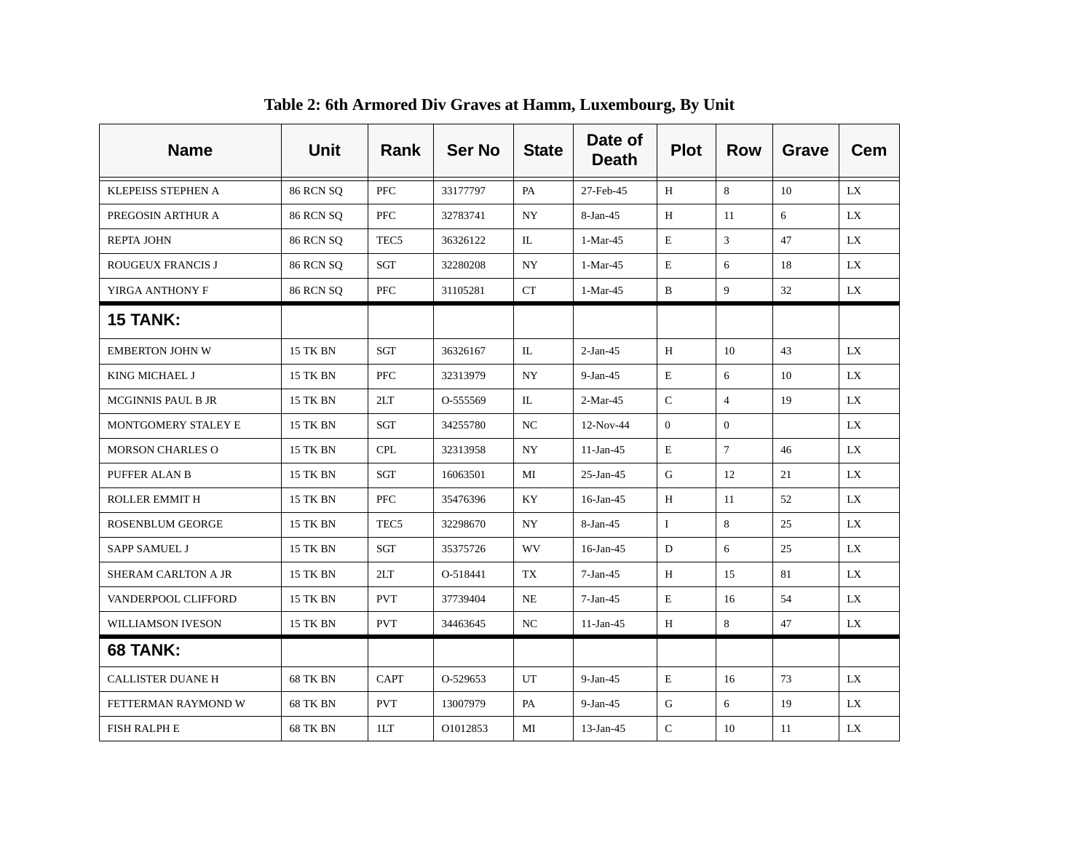| <b>Name</b>              | <b>Unit</b>      | Rank             | <b>Ser No</b> | <b>State</b>     | Date of<br><b>Death</b> | <b>Plot</b>    | <b>Row</b>      | <b>Grave</b> | <b>Cem</b> |
|--------------------------|------------------|------------------|---------------|------------------|-------------------------|----------------|-----------------|--------------|------------|
| KLEPEISS STEPHEN A       | <b>86 RCN SQ</b> | PFC              | 33177797      | PA               | 27-Feb-45               | H              | 8               | 10           | LX.        |
| PREGOSIN ARTHUR A        | <b>86 RCN SQ</b> | PFC              | 32783741      | NY               | 8-Jan-45                | H              | 11              | 6            | LX         |
| REPTA JOHN               | <b>86 RCN SO</b> | TEC <sub>5</sub> | 36326122      | IL               | 1-Mar-45                | E              | 3               | 47           | LX         |
| <b>ROUGEUX FRANCIS J</b> | <b>86 RCN SQ</b> | SGT              | 32280208      | NY               | 1-Mar-45                | E              | 6               | 18           | LX.        |
| YIRGA ANTHONY F          | <b>86 RCN SQ</b> | PFC              | 31105281      | CT               | 1-Mar-45                | B              | 9               | 32           | LX.        |
| <b>15 TANK:</b>          |                  |                  |               |                  |                         |                |                 |              |            |
| <b>EMBERTON JOHN W</b>   | <b>15 TK BN</b>  | SGT              | 36326167      | IL               | $2-Jan-45$              | H              | 10              | 43           | LX         |
| KING MICHAEL J           | <b>15 TK BN</b>  | <b>PFC</b>       | 32313979      | <b>NY</b>        | $9-Jan-45$              | E              | 6               | 10           | LX         |
| MCGINNIS PAUL B JR       | <b>15 TK BN</b>  | 2LT              | O-555569      | IL               | $2-Mar-45$              | $\mathcal{C}$  | $\overline{4}$  | 19           | LX         |
| MONTGOMERY STALEY E      | <b>15 TK BN</b>  | SGT              | 34255780      | NC               | 12-Nov-44               | $\overline{0}$ | $\overline{0}$  |              | LX         |
| <b>MORSON CHARLES O</b>  | <b>15 TK BN</b>  | CPL              | 32313958      | $_{\mathrm{NY}}$ | $11-Jan-45$             | E              | $7\phantom{.0}$ | 46           | <b>LX</b>  |
| PUFFER ALAN B            | <b>15 TK BN</b>  | SGT              | 16063501      | MI               | $25$ -Jan-45            | G              | 12              | 21           | LX         |
| <b>ROLLER EMMIT H</b>    | <b>15 TK BN</b>  | PFC              | 35476396      | KY               | 16-Jan-45               | H              | 11              | 52           | LX         |
| <b>ROSENBLUM GEORGE</b>  | 15 TK BN         | TEC <sub>5</sub> | 32298670      | NY               | 8-Jan-45                | $\bf{I}$       | 8               | 25           | LX         |
| SAPP SAMUEL J            | <b>15 TK BN</b>  | SGT              | 35375726      | WV               | $16$ -Jan-45            | D              | 6               | 25           | <b>LX</b>  |
| SHERAM CARLTON A JR      | <b>15 TK BN</b>  | 2LT              | O-518441      | TX               | $7-Jan-45$              | $\, {\rm H}$   | 15              | 81           | <b>LX</b>  |
| VANDERPOOL CLIFFORD      | <b>15 TK BN</b>  | <b>PVT</b>       | 37739404      | NE               | $7-Jan-45$              | E              | 16              | 54           | LX         |
| WILLIAMSON IVESON        | 15 TK BN         | <b>PVT</b>       | 34463645      | NC               | $11-Jan-45$             | H              | 8               | 47           | LX         |
| <b>68 TANK:</b>          |                  |                  |               |                  |                         |                |                 |              |            |
| <b>CALLISTER DUANE H</b> | <b>68 TK BN</b>  | <b>CAPT</b>      | O-529653      | UT               | $9-Jan-45$              | E              | 16              | 73           | LX         |
| FETTERMAN RAYMOND W      | 68 TK BN         | <b>PVT</b>       | 13007979      | PA               | $9-Jan-45$              | G              | 6               | 19           | LX         |
| <b>FISH RALPH E</b>      | 68 TK BN         | 1LT              | O1012853      | MI               | $13$ -Jan-45            | $\mathbf C$    | 10              | 11           | LX         |

**Table 2: 6th Armored Div Graves at Hamm, Luxembourg, By Unit**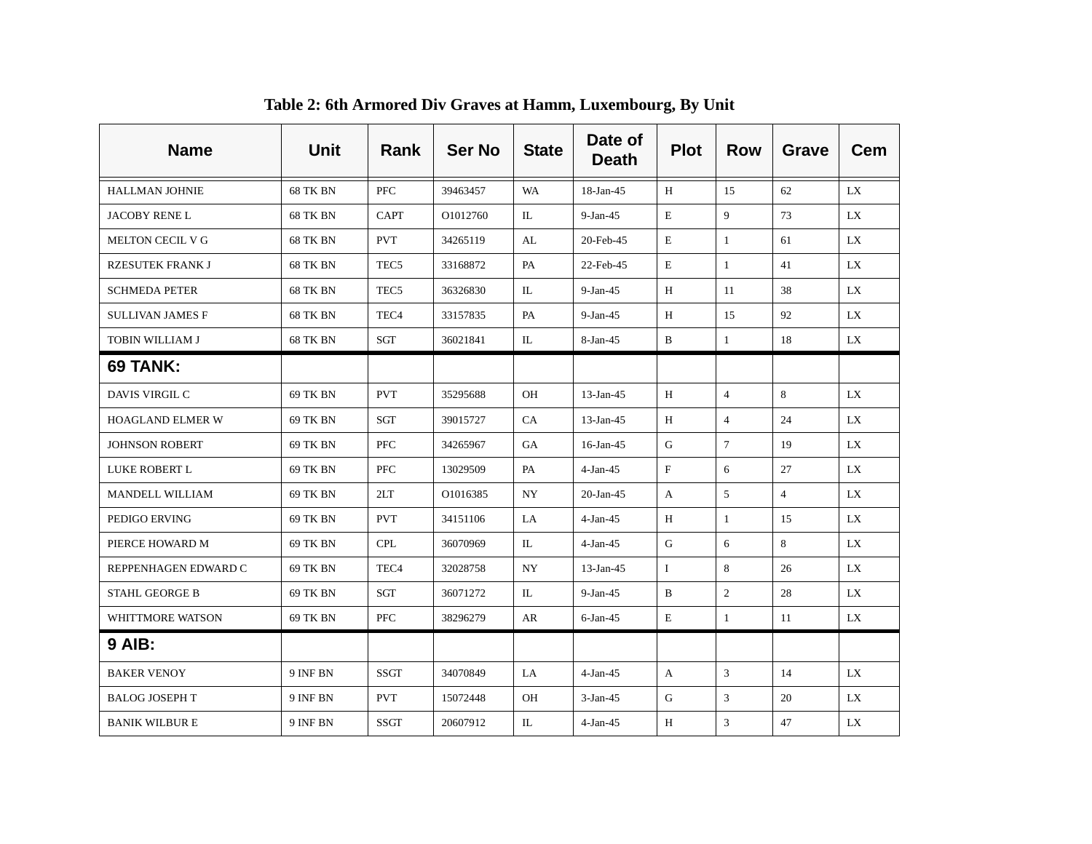| <b>Name</b>             | <b>Unit</b>     | Rank             | <b>Ser No</b> | <b>State</b> | Date of<br><b>Death</b> | <b>Plot</b> | <b>Row</b>      | Grave          | <b>Cem</b> |
|-------------------------|-----------------|------------------|---------------|--------------|-------------------------|-------------|-----------------|----------------|------------|
| <b>HALLMAN JOHNIE</b>   | <b>68 TK BN</b> | PFC              | 39463457      | WA           | 18-Jan-45               | H           | 15              | 62             | LX.        |
| <b>JACOBY RENEL</b>     | 68 TK BN        | <b>CAPT</b>      | O1012760      | IL           | $9-Jan-45$              | E           | 9               | 73             | LX.        |
| MELTON CECIL V G        | 68 TK BN        | <b>PVT</b>       | 34265119      | AL           | 20-Feb-45               | E           | $\mathbf{1}$    | 61             | LX.        |
| <b>RZESUTEK FRANK J</b> | 68 TK BN        | TEC <sub>5</sub> | 33168872      | PA           | 22-Feb-45               | E           | $\mathbf{1}$    | 41             | LX         |
| <b>SCHMEDA PETER</b>    | <b>68 TK BN</b> | TEC <sub>5</sub> | 36326830      | $\mathbb{L}$ | $9-Jan-45$              | H           | 11              | 38             | LX         |
| <b>SULLIVAN JAMES F</b> | 68 TK BN        | TEC <sub>4</sub> | 33157835      | PA           | $9-Jan-45$              | H           | 15              | 92             | LX         |
| TOBIN WILLIAM J         | 68 TK BN        | SGT              | 36021841      | IL           | 8-Jan-45                | B           | $\mathbf{1}$    | 18             | LX         |
| <b>69 TANK:</b>         |                 |                  |               |              |                         |             |                 |                |            |
| DAVIS VIRGIL C          | 69 TK BN        | <b>PVT</b>       | 35295688      | <b>OH</b>    | $13$ -Jan-45            | H           | $\overline{4}$  | 8              | LX.        |
| <b>HOAGLAND ELMER W</b> | 69 TK BN        | SGT              | 39015727      | CA           | $13$ -Jan-45            | H           | $\overline{4}$  | 24             | LX.        |
| <b>JOHNSON ROBERT</b>   | 69 TK BN        | <b>PFC</b>       | 34265967      | GA           | $16$ -Jan-45            | G           | $7\phantom{.0}$ | 19             | LX         |
| LUKE ROBERT L           | 69 TK BN        | <b>PFC</b>       | 13029509      | PA           | $4-Jan-45$              | $_{\rm F}$  | 6               | 27             | LX.        |
| MANDELL WILLIAM         | 69 TK BN        | 2LT              | O1016385      | NY           | $20$ -Jan-45            | A           | 5               | $\overline{4}$ | LX         |
| PEDIGO ERVING           | 69 TK BN        | <b>PVT</b>       | 34151106      | LA           | $4-Jan-45$              | H           | 1               | 15             | LX         |
| PIERCE HOWARD M         | 69 TK BN        | <b>CPL</b>       | 36070969      | IL           | $4-Jan-45$              | G           | 6               | 8              | LX.        |
| REPPENHAGEN EDWARD C    | 69 TK BN        | TEC <sub>4</sub> | 32028758      | NY           | $13$ -Jan-45            | $\bf{I}$    | 8               | 26             | LX         |
| <b>STAHL GEORGE B</b>   | 69 TK BN        | SGT              | 36071272      | IL           | $9-Jan-45$              | B           | 2               | 28             | LX         |
| WHITTMORE WATSON        | 69 TK BN        | <b>PFC</b>       | 38296279      | AR           | $6$ -Jan-45             | Е           | $\mathbf{1}$    | 11             | LX.        |
| <b>9 AIB:</b>           |                 |                  |               |              |                         |             |                 |                |            |
| <b>BAKER VENOY</b>      | 9 INF BN        | <b>SSGT</b>      | 34070849      | LA           | $4-Jan-45$              | A           | 3               | 14             | LX         |
| <b>BALOG JOSEPH T</b>   | 9 INF BN        | <b>PVT</b>       | 15072448      | <b>OH</b>    | $3-Jan-45$              | G           | 3               | 20             | LX.        |
| <b>BANIK WILBURE</b>    | 9 INF BN        | <b>SSGT</b>      | 20607912      | IL           | $4-Jan-45$              | H           | 3               | 47             | LX         |

**Table 2: 6th Armored Div Graves at Hamm, Luxembourg, By Unit**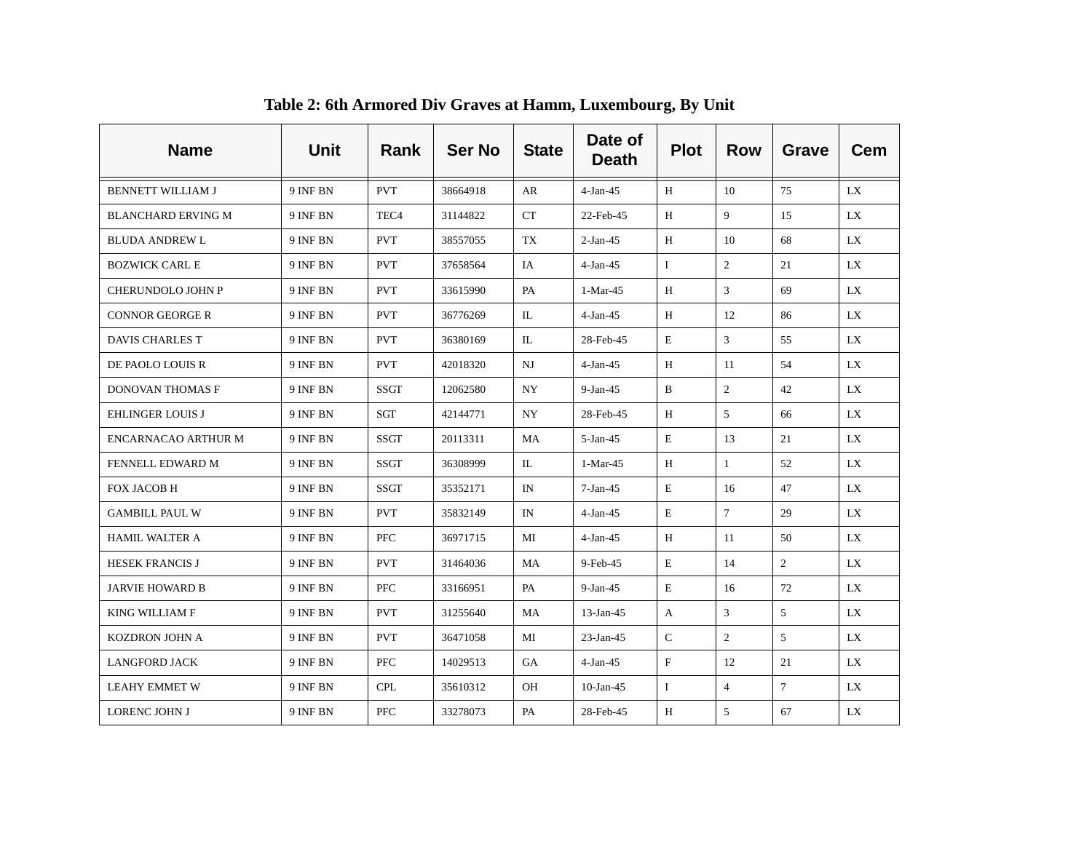| <b>Name</b>                | <b>Unit</b> | Rank             | <b>Ser No</b> | <b>State</b> | Date of<br><b>Death</b> | <b>Plot</b>  | <b>Row</b>      | Grave           | <b>Cem</b> |
|----------------------------|-------------|------------------|---------------|--------------|-------------------------|--------------|-----------------|-----------------|------------|
| <b>BENNETT WILLIAM J</b>   | 9 INF BN    | <b>PVT</b>       | 38664918      | AR           | $4-Jan-45$              | H            | 10              | 75              | LX         |
| <b>BLANCHARD ERVING M</b>  | 9 INF BN    | TEC <sub>4</sub> | 31144822      | <b>CT</b>    | 22-Feb-45               | H            | 9               | 15              | LX.        |
| <b>BLUDA ANDREW L</b>      | 9 INF BN    | <b>PVT</b>       | 38557055      | <b>TX</b>    | $2-Jan-45$              | H            | 10              | 68              | LX         |
| <b>BOZWICK CARL E</b>      | 9 INF BN    | <b>PVT</b>       | 37658564      | IA           | $4-Jan-45$              | $\mathbf{I}$ | 2               | 21              | LX         |
| <b>CHERUNDOLO JOHN P</b>   | 9 INF BN    | <b>PVT</b>       | 33615990      | PA           | 1-Mar-45                | H            | 3               | 69              | LX.        |
| CONNOR GEORGE R            | 9 INF BN    | <b>PVT</b>       | 36776269      | IL           | $4-Jan-45$              | H            | 12              | 86              | LX.        |
| DAVIS CHARLES T            | 9 INF BN    | <b>PVT</b>       | 36380169      | IL           | 28-Feb-45               | Е            | 3               | 55              | LX.        |
| DE PAOLO LOUIS R           | 9 INF BN    | <b>PVT</b>       | 42018320      | NJ           | $4-Jan-45$              | H            | -11             | 54              | LX.        |
| DONOVAN THOMAS F           | 9 INF BN    | SSGT             | 12062580      | NY           | $9-Jan-45$              | B            | 2               | 42              | LX         |
| <b>EHLINGER LOUIS J</b>    | 9 INF BN    | SGT              | 42144771      | NY.          | 28-Feb-45               | H            | 5               | 66              | LX.        |
| <b>ENCARNACAO ARTHUR M</b> | 9 INF BN    | SSGT             | 20113311      | MA           | $5-Jan-45$              | $\mathbf E$  | 13              | 21              | LX         |
| FENNELL EDWARD M           | 9 INF BN    | <b>SSGT</b>      | 36308999      | IL           | 1-Mar-45                | H            | $\mathbf{1}$    | 52              | LX         |
| FOX JACOB H                | 9 INF BN    | SSGT             | 35352171      | IN           | $7-Jan-45$              | Е            | 16              | 47              | LX         |
| <b>GAMBILL PAUL W</b>      | 9 INF BN    | <b>PVT</b>       | 35832149      | IN           | $4-Jan-45$              | E            | $7\phantom{.0}$ | 29              | LX         |
| <b>HAMIL WALTER A</b>      | 9 INF BN    | <b>PFC</b>       | 36971715      | MI           | $4-Jan-45$              | H            | 11              | 50              | LX         |
| <b>HESEK FRANCIS J</b>     | 9 INF BN    | <b>PVT</b>       | 31464036      | MA           | 9-Feb-45                | E            | 14              | $\overline{2}$  | LX         |
| <b>JARVIE HOWARD B</b>     | 9 INF BN    | <b>PFC</b>       | 33166951      | PA           | $9-Jan-45$              | Ε            | 16              | 72              | LX.        |
| KING WILLIAM F             | 9 INF BN    | <b>PVT</b>       | 31255640      | MA           | $13$ -Jan-45            | A            | 3               | 5 <sup>5</sup>  | LX.        |
| KOZDRON JOHN A             | 9 INF BN    | <b>PVT</b>       | 36471058      | МI           | $23$ -Jan-45            | C            | 2               | 5               | LX.        |
| <b>LANGFORD JACK</b>       | 9 INF BN    | <b>PFC</b>       | 14029513      | GA           | $4-Jan-45$              | $\rm F$      | 12              | 21              | LX         |
| <b>LEAHY EMMET W</b>       | 9 INF BN    | <b>CPL</b>       | 35610312      | <b>OH</b>    | $10$ -Jan-45            | $\mathbf{I}$ | $\overline{4}$  | $7\overline{ }$ | LX.        |
| LORENC JOHN J              | 9 INF BN    | <b>PFC</b>       | 33278073      | PA           | 28-Feb-45               | H            | 5               | 67              | LX         |

**Table 2: 6th Armored Div Graves at Hamm, Luxembourg, By Unit**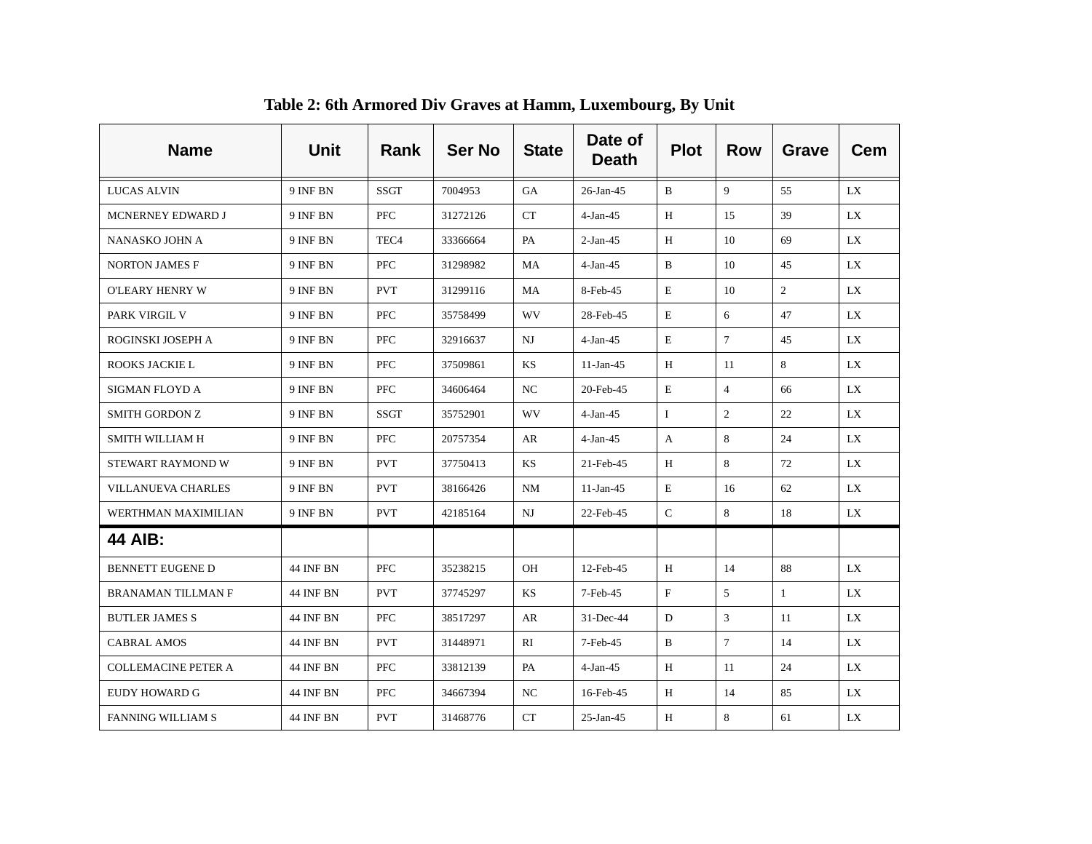| <b>Name</b>                | Unit             | Rank             | <b>Ser No</b> | <b>State</b> | Date of<br><b>Death</b> | <b>Plot</b>               | <b>Row</b>      | <b>Grave</b> | <b>Cem</b> |
|----------------------------|------------------|------------------|---------------|--------------|-------------------------|---------------------------|-----------------|--------------|------------|
| <b>LUCAS ALVIN</b>         | 9 INF BN         | <b>SSGT</b>      | 7004953       | <b>GA</b>    | $26$ -Jan-45            | B                         | 9               | 55           | LX.        |
| MCNERNEY EDWARD J          | 9 INF BN         | <b>PFC</b>       | 31272126      | CT           | $4-Jan-45$              | H                         | 15              | 39           | LX         |
| NANASKO JOHN A             | 9 INF BN         | TEC <sub>4</sub> | 33366664      | PA           | $2-Jan-45$              | H                         | 10              | 69           | LX         |
| <b>NORTON JAMES F</b>      | 9 INF BN         | PFC              | 31298982      | MA           | $4-Jan-45$              | B                         | 10              | 45           | LX.        |
| O'LEARY HENRY W            | 9 INF BN         | <b>PVT</b>       | 31299116      | MA           | 8-Feb-45                | E                         | 10              | 2            | LX         |
| PARK VIRGIL V              | 9 INF BN         | <b>PFC</b>       | 35758499      | <b>WV</b>    | 28-Feb-45               | E                         | 6               | 47           | LX         |
| ROGINSKI JOSEPH A          | 9 INF BN         | PFC              | 32916637      | NJ           | $4-Jan-45$              | E                         | $7\overline{ }$ | 45           | LX         |
| ROOKS JACKIE L             | 9 INF BN         | PFC              | 37509861      | KS           | $11-Jan-45$             | Н                         | 11              | 8            | LX         |
| SIGMAN FLOYD A             | 9 INF BN         | PFC              | 34606464      | NC           | 20-Feb-45               | E                         | $\overline{4}$  | 66           | LX         |
| SMITH GORDON Z             | 9 INF BN         | <b>SSGT</b>      | 35752901      | <b>WV</b>    | $4-Jan-45$              | $\bf{I}$                  | $\overline{2}$  | 22           | LX         |
| <b>SMITH WILLIAM H</b>     | 9 INF BN         | PFC              | 20757354      | AR           | $4-Jan-45$              | A                         | 8               | 24           | LX         |
| STEWART RAYMOND W          | 9 INF BN         | <b>PVT</b>       | 37750413      | KS           | 21-Feb-45               | H                         | 8               | 72           | LX         |
| <b>VILLANUEVA CHARLES</b>  | 9 INF BN         | <b>PVT</b>       | 38166426      | NM           | $11-Jan-45$             | Ε                         | 16              | 62           | LX         |
| WERTHMAN MAXIMILIAN        | 9 INF BN         | <b>PVT</b>       | 42185164      | NJ           | 22-Feb-45               | $\mathbf C$               | 8               | 18           | LX.        |
| <b>44 AIB:</b>             |                  |                  |               |              |                         |                           |                 |              |            |
| <b>BENNETT EUGENE D</b>    | 44 INF BN        | PFC              | 35238215      | OH           | 12-Feb-45               | H                         | 14              | 88           | LX         |
| BRANAMAN TILLMAN F         | 44 INF BN        | <b>PVT</b>       | 37745297      | KS           | 7-Feb-45                | $\boldsymbol{\mathrm{F}}$ | 5               | $\mathbf{1}$ | LX         |
| <b>BUTLER JAMES S</b>      | 44 INF BN        | <b>PFC</b>       | 38517297      | AR           | 31-Dec-44               | D                         | 3               | 11           | LX         |
| <b>CABRAL AMOS</b>         | 44 INF BN        | <b>PVT</b>       | 31448971      | RI           | 7-Feb-45                | B                         | $\overline{7}$  | 14           | LX.        |
| <b>COLLEMACINE PETER A</b> | 44 INF BN        | PFC              | 33812139      | PA           | $4-Jan-45$              | H                         | 11              | 24           | LX.        |
| EUDY HOWARD G              | 44 INF BN        | PFC              | 34667394      | NC           | 16-Feb-45               | H                         | 14              | 85           | LX.        |
| <b>FANNING WILLIAM S</b>   | <b>44 INF BN</b> | <b>PVT</b>       | 31468776      | CT           | $25$ -Jan-45            | H                         | 8               | 61           | LX         |

**Table 2: 6th Armored Div Graves at Hamm, Luxembourg, By Unit**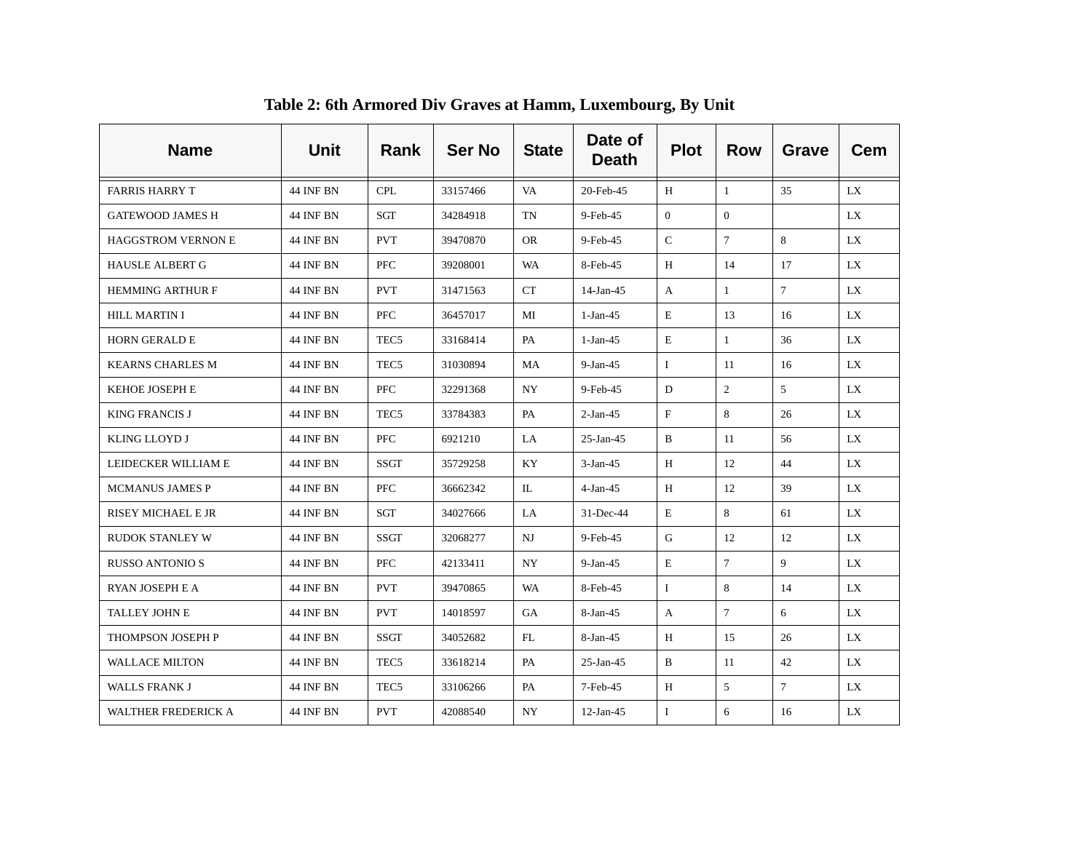| <b>Name</b>                | <b>Unit</b>      | Rank             | <b>Ser No</b> | <b>State</b> | Date of<br><b>Death</b> | <b>Plot</b>    | <b>Row</b>      | <b>Grave</b>   | <b>Cem</b> |
|----------------------------|------------------|------------------|---------------|--------------|-------------------------|----------------|-----------------|----------------|------------|
| <b>FARRIS HARRY T</b>      | <b>44 INF BN</b> | <b>CPL</b>       | 33157466      | VA.          | 20-Feb-45               | H              | $\overline{1}$  | 35             | LX.        |
| <b>GATEWOOD JAMES H</b>    | <b>44 INF BN</b> | SGT              | 34284918      | TN           | 9-Feb-45                | $\overline{0}$ | $\mathbf{0}$    |                | LX.        |
| <b>HAGGSTROM VERNON E</b>  | <b>44 INF BN</b> | <b>PVT</b>       | 39470870      | OR.          | 9-Feb-45                | $\mathsf{C}$   | $7\overline{ }$ | 8              | LX.        |
| <b>HAUSLE ALBERT G</b>     | <b>44 INF BN</b> | <b>PFC</b>       | 39208001      | <b>WA</b>    | 8-Feb-45                | H              | 14              | 17             | LX.        |
| <b>HEMMING ARTHUR F</b>    | 44 INF BN        | <b>PVT</b>       | 31471563      | <b>CT</b>    | 14-Jan-45               | A              | 1               | 7 <sup>7</sup> | LX         |
| <b>HILL MARTIN I</b>       | 44 INF BN        | <b>PFC</b>       | 36457017      | МI           | $1-Jan-45$              | E              | 13              | 16             | LX.        |
| <b>HORN GERALD E</b>       | 44 INF BN        | TEC <sub>5</sub> | 33168414      | PA           | $1-Jan-45$              | $\mathbf E$    | $\mathbf{1}$    | 36             | LX         |
| <b>KEARNS CHARLES M</b>    | 44 INF BN        | TEC5             | 31030894      | MA           | $9-Jan-45$              | $\mathbf{I}$   | -11             | 16             | LX.        |
| KEHOE JOSEPH E             | 44 INF BN        | <b>PFC</b>       | 32291368      | NY.          | 9-Feb-45                | D              | $\overline{2}$  | 5              | LX         |
| <b>KING FRANCIS J</b>      | 44 INF BN        | TEC5             | 33784383      | PA           | $2-Jan-45$              | $\mathbf F$    | 8               | 26             | LX.        |
| KLING LLOYD J              | 44 INF BN        | PFC              | 6921210       | LA           | $25$ -Jan-45            | B              | 11              | 56             | LX.        |
| LEIDECKER WILLIAM E        | 44 INF BN        | <b>SSGT</b>      | 35729258      | KY           | $3-Jan-45$              | H              | 12              | 44             | LX.        |
| <b>MCMANUS JAMES P</b>     | 44 INF BN        | <b>PFC</b>       | 36662342      | IL           | $4-Jan-45$              | H              | 12              | 39             | LX.        |
| RISEY MICHAEL E JR         | 44 INF BN        | SGT              | 34027666      | LA           | $31$ -Dec-44            | E              | 8               | 61             | LX.        |
| <b>RUDOK STANLEY W</b>     | 44 INF BN        | SSGT             | 32068277      | NJ           | 9-Feb-45                | G              | 12              | 12             | LX.        |
| <b>RUSSO ANTONIO S</b>     | 44 INF BN        | PFC              | 42133411      | NY           | $9-Jan-45$              | E              | $7\phantom{.0}$ | 9              | LX         |
| RYAN JOSEPH E A            | 44 INF BN        | <b>PVT</b>       | 39470865      | WA           | 8-Feb-45                | $\mathbf{I}$   | 8               | 14             | LX.        |
| TALLEY JOHN E              | 44 INF BN        | <b>PVT</b>       | 14018597      | GA           | 8-Jan-45                | $\mathbf{A}$   | $\tau$          | 6              | LX.        |
| THOMPSON JOSEPH P          | 44 INF BN        | SSGT             | 34052682      | FL           | 8-Jan-45                | H              | 15              | 26             | LX.        |
| <b>WALLACE MILTON</b>      | 44 INF BN        | TEC5             | 33618214      | PA           | $25$ -Jan-45            | B              | 11              | 42             | LX.        |
| <b>WALLS FRANK J</b>       | 44 INF BN        | TEC5             | 33106266      | PA           | 7-Feb-45                | H              | 5               | $7^{\circ}$    | LX.        |
| <b>WALTHER FREDERICK A</b> | 44 INF BN        | <b>PVT</b>       | 42088540      | NY           | $12$ -Jan-45            | $\mathbf I$    | 6               | 16             | LX.        |

**Table 2: 6th Armored Div Graves at Hamm, Luxembourg, By Unit**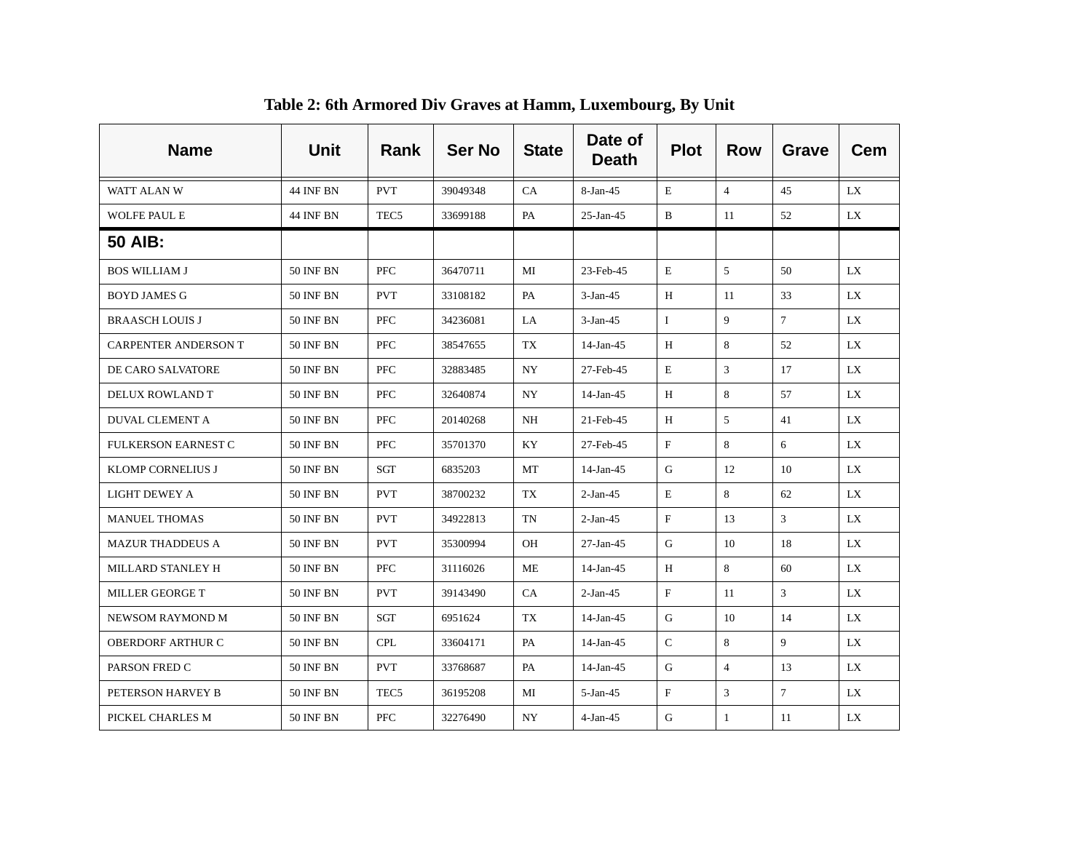| <b>Name</b>                 | Unit             | Rank             | <b>Ser No</b> | <b>State</b> | Date of<br><b>Death</b> | <b>Plot</b>               | <b>Row</b>     | <b>Grave</b>    | <b>Cem</b> |
|-----------------------------|------------------|------------------|---------------|--------------|-------------------------|---------------------------|----------------|-----------------|------------|
| WATT ALAN W                 | <b>44 INF BN</b> | <b>PVT</b>       | 39049348      | CA           | 8-Jan-45                | E                         | $\overline{4}$ | 45              | LX.        |
| <b>WOLFE PAUL E</b>         | <b>44 INF BN</b> | TEC <sub>5</sub> | 33699188      | PA           | $25$ -Jan-45            | B                         | 11             | 52              | LX         |
| <b>50 AIB:</b>              |                  |                  |               |              |                         |                           |                |                 |            |
| <b>BOS WILLIAM J</b>        | <b>50 INF BN</b> | <b>PFC</b>       | 36470711      | MI           | 23-Feb-45               | Ε                         | 5              | 50              | LX.        |
| <b>BOYD JAMES G</b>         | <b>50 INF BN</b> | <b>PVT</b>       | 33108182      | PA           | $3-Jan-45$              | H                         | 11             | 33              | LX.        |
| <b>BRAASCH LOUIS J</b>      | <b>50 INF BN</b> | <b>PFC</b>       | 34236081      | LA           | $3-Jan-45$              | $\mathbf{I}$              | 9              | $7\phantom{.0}$ | LX         |
| <b>CARPENTER ANDERSON T</b> | <b>50 INF BN</b> | PFC              | 38547655      | TX           | 14-Jan-45               | H                         | 8              | 52              | LX         |
| DE CARO SALVATORE           | <b>50 INF BN</b> | PFC              | 32883485      | NY           | 27-Feb-45               | Е                         | 3              | 17              | LX         |
| DELUX ROWLAND T             | <b>50 INF BN</b> | PFC              | 32640874      | NY           | 14-Jan-45               | H                         | 8              | 57              | LX         |
| <b>DUVAL CLEMENT A</b>      | <b>50 INF BN</b> | PFC              | 20140268      | NH           | 21-Feb-45               | H                         | 5              | 41              | LX         |
| <b>FULKERSON EARNEST C</b>  | <b>50 INF BN</b> | PFC              | 35701370      | KY           | 27-Feb-45               | $\boldsymbol{\mathrm{F}}$ | 8              | 6               | LX         |
| <b>KLOMP CORNELIUS J</b>    | <b>50 INF BN</b> | SGT              | 6835203       | МT           | 14-Jan-45               | G                         | 12             | 10              | LX.        |
| LIGHT DEWEY A               | <b>50 INF BN</b> | <b>PVT</b>       | 38700232      | TX           | $2-Jan-45$              | E                         | 8              | 62              | LX         |
| <b>MANUEL THOMAS</b>        | <b>50 INF BN</b> | <b>PVT</b>       | 34922813      | TN           | $2-Jan-45$              | $\rm F$                   | 13             | 3               | LX         |
| <b>MAZUR THADDEUS A</b>     | <b>50 INF BN</b> | <b>PVT</b>       | 35300994      | OH           | $27-Ian-45$             | G                         | 10             | 18              | LX         |
| MILLARD STANLEY H           | <b>50 INF BN</b> | PFC              | 31116026      | ME           | 14-Jan-45               | H                         | 8              | 60              | LX         |
| MILLER GEORGE T             | <b>50 INF BN</b> | <b>PVT</b>       | 39143490      | CA           | $2-Jan-45$              | $\mathbf{F}$              | 11             | 3               | LX         |
| NEWSOM RAYMOND M            | <b>50 INF BN</b> | SGT              | 6951624       | <b>TX</b>    | $14$ -Jan-45            | G                         | 10             | 14              | LX         |
| <b>OBERDORF ARTHUR C</b>    | <b>50 INF BN</b> | <b>CPL</b>       | 33604171      | PA           | 14-Jan-45               | $\mathbf C$               | 8              | 9               | LX         |
| PARSON FRED C               | <b>50 INF BN</b> | <b>PVT</b>       | 33768687      | PA           | 14-Jan-45               | G                         | $\overline{4}$ | 13              | LX.        |
| PETERSON HARVEY B           | <b>50 INF BN</b> | TEC <sub>5</sub> | 36195208      | MI           | $5-Jan-45$              | $_{\rm F}$                | 3              | $7\overline{ }$ | LX         |
| PICKEL CHARLES M            | <b>50 INF BN</b> | PFC              | 32276490      | NY           | $4-Jan-45$              | G                         | $\mathbf{1}$   | 11              | LX         |

**Table 2: 6th Armored Div Graves at Hamm, Luxembourg, By Unit**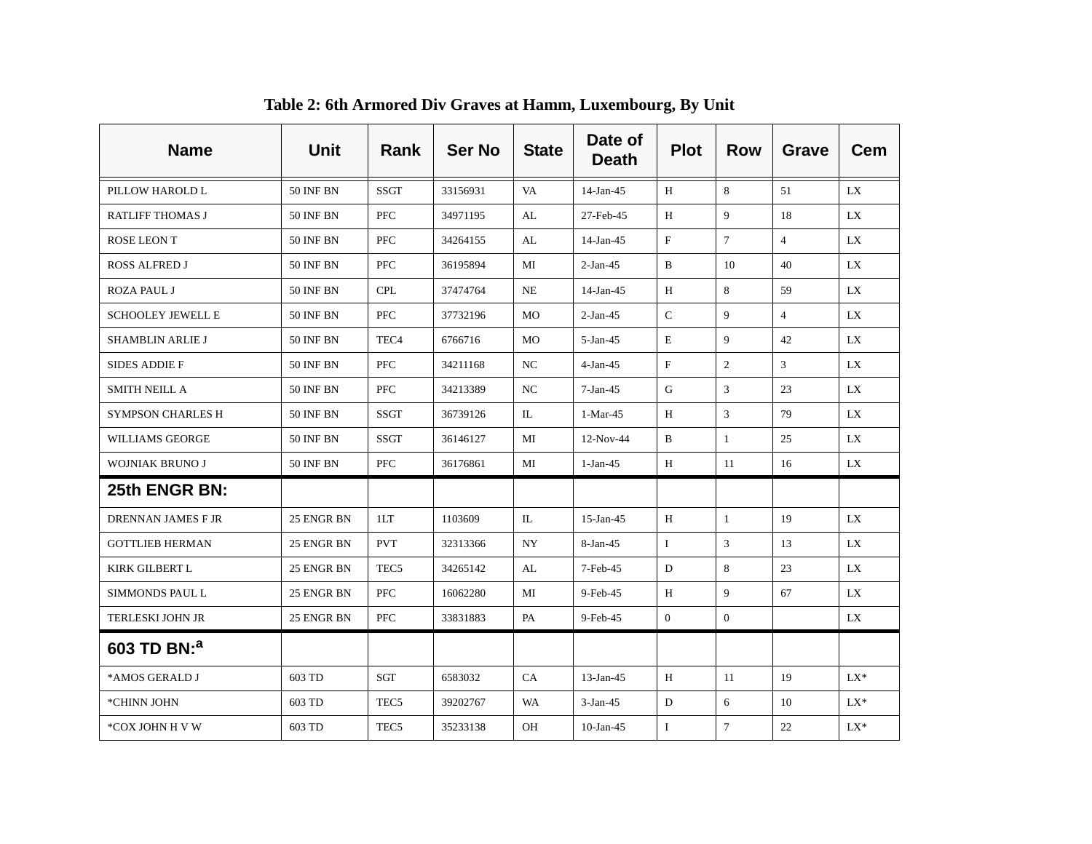| <b>Name</b>              | <b>Unit</b>      | Rank             | <b>Ser No</b> | <b>State</b> | Date of<br><b>Death</b> | <b>Plot</b>    | <b>Row</b>     | <b>Grave</b>   | <b>Cem</b> |
|--------------------------|------------------|------------------|---------------|--------------|-------------------------|----------------|----------------|----------------|------------|
| PILLOW HAROLD L          | <b>50 INF BN</b> | <b>SSGT</b>      | 33156931      | VA           | 14-Jan-45               | H              | 8              | 51             | LX.        |
| <b>RATLIFF THOMAS J</b>  | <b>50 INF BN</b> | <b>PFC</b>       | 34971195      | AL           | 27-Feb-45               | H              | 9              | 18             | LX         |
| ROSE LEON T              | <b>50 INF BN</b> | <b>PFC</b>       | 34264155      | AL           | $14$ -Jan-45            | $\rm F$        | $\tau$         | $\overline{4}$ | LX         |
| <b>ROSS ALFRED J</b>     | <b>50 INF BN</b> | PFC              | 36195894      | MI           | $2-Jan-45$              | B              | 10             | 40             | LX.        |
| <b>ROZA PAUL J</b>       | <b>50 INF BN</b> | <b>CPL</b>       | 37474764      | <b>NE</b>    | $14$ -Jan-45            | H              | 8              | 59             | LX         |
| <b>SCHOOLEY JEWELL E</b> | <b>50 INF BN</b> | PFC              | 37732196      | MO           | $2-Jan-45$              | $\mathcal{C}$  | 9              | $\overline{4}$ | LX         |
| SHAMBLIN ARLIE J         | <b>50 INF BN</b> | TEC <sub>4</sub> | 6766716       | MO           | $5 - Jan - 45$          | E              | 9              | 42             | LX.        |
| <b>SIDES ADDIE F</b>     | <b>50 INF BN</b> | <b>PFC</b>       | 34211168      | NC           | $4-Jan-45$              | $\rm F$        | 2              | 3              | LX         |
| <b>SMITH NEILL A</b>     | <b>50 INF BN</b> | <b>PFC</b>       | 34213389      | NC           | $7-Jan-45$              | G              | 3              | 23             | LX         |
| <b>SYMPSON CHARLES H</b> | <b>50 INF BN</b> | SSGT             | 36739126      | IL           | 1-Mar-45                | H              | 3              | 79             | LX.        |
| <b>WILLIAMS GEORGE</b>   | <b>50 INF BN</b> | <b>SSGT</b>      | 36146127      | MI           | 12-Nov-44               | B              | $\mathbf{1}$   | 25             | LX         |
| <b>WOJNIAK BRUNO J</b>   | <b>50 INF BN</b> | <b>PFC</b>       | 36176861      | MI           | $1-Jan-45$              | H              | 11             | 16             | LX         |
| 25th ENGR BN:            |                  |                  |               |              |                         |                |                |                |            |
| DRENNAN JAMES F JR       | 25 ENGR BN       | 1LT              | 1103609       | IL           | $15$ -Jan-45            | H              | $\mathbf{1}$   | 19             | LX         |
| <b>GOTTLIEB HERMAN</b>   | 25 ENGR BN       | <b>PVT</b>       | 32313366      | <b>NY</b>    | 8-Jan-45                | $\mathbf{I}$   | 3              | 13             | LX.        |
| KIRK GILBERT L           | 25 ENGR BN       | TEC <sub>5</sub> | 34265142      | AL           | 7-Feb-45                | D              | 8              | 23             | LX.        |
| <b>SIMMONDS PAUL L</b>   | 25 ENGR BN       | <b>PFC</b>       | 16062280      | MI           | 9-Feb-45                | H              | $\mathbf Q$    | 67             | LX         |
| <b>TERLESKI JOHN JR</b>  | 25 ENGR BN       | PFC              | 33831883      | PA           | 9-Feb-45                | $\overline{0}$ | $\overline{0}$ |                | LX         |
| 603 TD BN: <sup>a</sup>  |                  |                  |               |              |                         |                |                |                |            |
| *AMOS GERALD J           | 603 TD           | <b>SGT</b>       | 6583032       | CA           | $13$ -Jan-45            | H              | 11             | 19             | $LX^*$     |
| *CHINN JOHN              | 603 TD           | TEC <sub>5</sub> | 39202767      | WA           | $3-Jan-45$              | D              | 6              | 10             | $LX^*$     |
| *COX JOHN H V W          | 603 TD           | TEC5             | 35233138      | OН           | $10$ -Jan-45            | Ι              | $\overline{7}$ | 22             | $LX^*$     |

### **Table 2: 6th Armored Div Graves at Hamm, Luxembourg, By Unit**